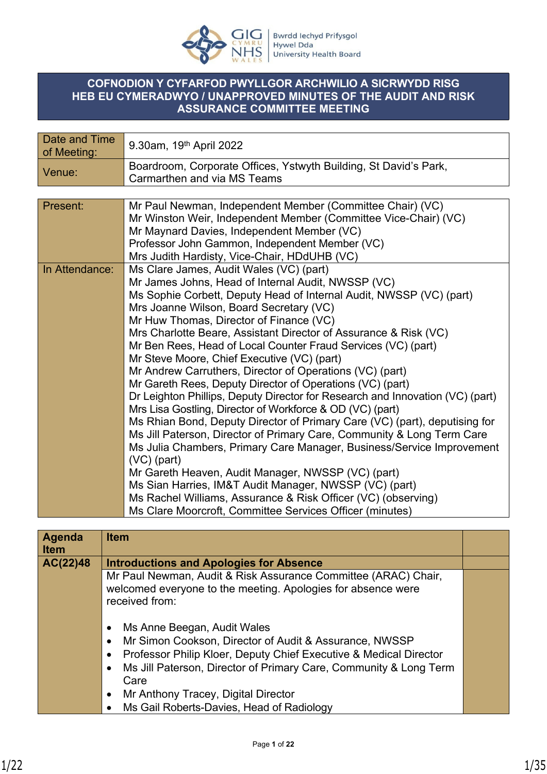

### **COFNODION Y CYFARFOD PWYLLGOR ARCHWILIO A SICRWYDD RISG HEB EU CYMERADWYO / UNAPPROVED MINUTES OF THE AUDIT AND RISK ASSURANCE COMMITTEE MEETING**

| Date and Time<br>of Meeting: | 9.30am, 19 <sup>th</sup> April 2022                                                                                                                                                                                                                                                                                                                                                                                                                                                                                                                                                                                                                                                                                                                                                                                                                                                                                                                                                                                                                                                                                                                                                                                  |
|------------------------------|----------------------------------------------------------------------------------------------------------------------------------------------------------------------------------------------------------------------------------------------------------------------------------------------------------------------------------------------------------------------------------------------------------------------------------------------------------------------------------------------------------------------------------------------------------------------------------------------------------------------------------------------------------------------------------------------------------------------------------------------------------------------------------------------------------------------------------------------------------------------------------------------------------------------------------------------------------------------------------------------------------------------------------------------------------------------------------------------------------------------------------------------------------------------------------------------------------------------|
| Venue:                       | Boardroom, Corporate Offices, Ystwyth Building, St David's Park,<br>Carmarthen and via MS Teams                                                                                                                                                                                                                                                                                                                                                                                                                                                                                                                                                                                                                                                                                                                                                                                                                                                                                                                                                                                                                                                                                                                      |
|                              |                                                                                                                                                                                                                                                                                                                                                                                                                                                                                                                                                                                                                                                                                                                                                                                                                                                                                                                                                                                                                                                                                                                                                                                                                      |
| Present:                     | Mr Paul Newman, Independent Member (Committee Chair) (VC)<br>Mr Winston Weir, Independent Member (Committee Vice-Chair) (VC)<br>Mr Maynard Davies, Independent Member (VC)<br>Professor John Gammon, Independent Member (VC)<br>Mrs Judith Hardisty, Vice-Chair, HDdUHB (VC)                                                                                                                                                                                                                                                                                                                                                                                                                                                                                                                                                                                                                                                                                                                                                                                                                                                                                                                                         |
| In Attendance:               | Ms Clare James, Audit Wales (VC) (part)<br>Mr James Johns, Head of Internal Audit, NWSSP (VC)<br>Ms Sophie Corbett, Deputy Head of Internal Audit, NWSSP (VC) (part)<br>Mrs Joanne Wilson, Board Secretary (VC)<br>Mr Huw Thomas, Director of Finance (VC)<br>Mrs Charlotte Beare, Assistant Director of Assurance & Risk (VC)<br>Mr Ben Rees, Head of Local Counter Fraud Services (VC) (part)<br>Mr Steve Moore, Chief Executive (VC) (part)<br>Mr Andrew Carruthers, Director of Operations (VC) (part)<br>Mr Gareth Rees, Deputy Director of Operations (VC) (part)<br>Dr Leighton Phillips, Deputy Director for Research and Innovation (VC) (part)<br>Mrs Lisa Gostling, Director of Workforce & OD (VC) (part)<br>Ms Rhian Bond, Deputy Director of Primary Care (VC) (part), deputising for<br>Ms Jill Paterson, Director of Primary Care, Community & Long Term Care<br>Ms Julia Chambers, Primary Care Manager, Business/Service Improvement<br>$(VC)$ (part)<br>Mr Gareth Heaven, Audit Manager, NWSSP (VC) (part)<br>Ms Sian Harries, IM&T Audit Manager, NWSSP (VC) (part)<br>Ms Rachel Williams, Assurance & Risk Officer (VC) (observing)<br>Ms Clare Moorcroft, Committee Services Officer (minutes) |

| <b>Agenda</b><br><b>Item</b> | <b>Item</b>                                                                                                                                                                                                                                                                                                                 |  |
|------------------------------|-----------------------------------------------------------------------------------------------------------------------------------------------------------------------------------------------------------------------------------------------------------------------------------------------------------------------------|--|
| AC(22)48                     | <b>Introductions and Apologies for Absence</b>                                                                                                                                                                                                                                                                              |  |
|                              | Mr Paul Newman, Audit & Risk Assurance Committee (ARAC) Chair,<br>welcomed everyone to the meeting. Apologies for absence were<br>received from:                                                                                                                                                                            |  |
|                              | Ms Anne Beegan, Audit Wales<br>Mr Simon Cookson, Director of Audit & Assurance, NWSSP<br>Professor Philip Kloer, Deputy Chief Executive & Medical Director<br>Ms Jill Paterson, Director of Primary Care, Community & Long Term<br>Care<br>Mr Anthony Tracey, Digital Director<br>Ms Gail Roberts-Davies, Head of Radiology |  |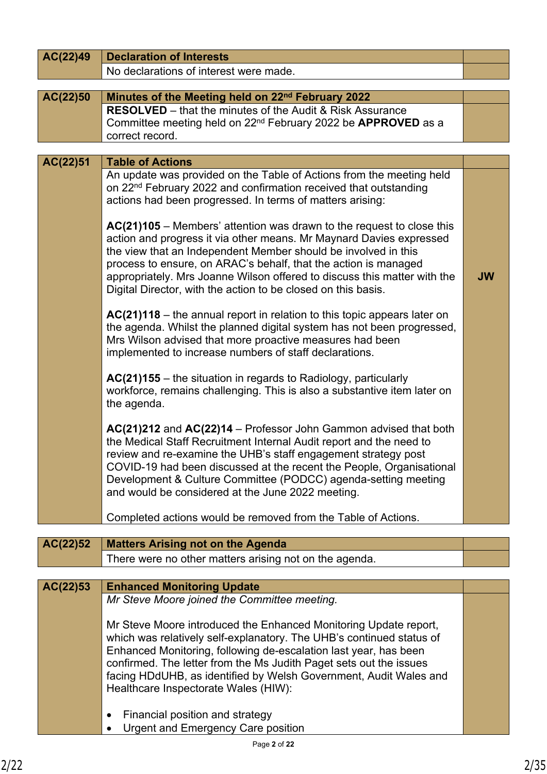| AC(22)49 | <b>Declaration of Interests</b>                                                                                                                                                                                                                                                                                                                                                                                                  |           |
|----------|----------------------------------------------------------------------------------------------------------------------------------------------------------------------------------------------------------------------------------------------------------------------------------------------------------------------------------------------------------------------------------------------------------------------------------|-----------|
|          | No declarations of interest were made.                                                                                                                                                                                                                                                                                                                                                                                           |           |
| AC(22)50 | Minutes of the Meeting held on 22 <sup>nd</sup> February 2022                                                                                                                                                                                                                                                                                                                                                                    |           |
|          | <b>RESOLVED</b> – that the minutes of the Audit & Risk Assurance<br>Committee meeting held on 22 <sup>nd</sup> February 2022 be APPROVED as a<br>correct record.                                                                                                                                                                                                                                                                 |           |
|          |                                                                                                                                                                                                                                                                                                                                                                                                                                  |           |
| AC(22)51 | <b>Table of Actions</b>                                                                                                                                                                                                                                                                                                                                                                                                          |           |
|          | An update was provided on the Table of Actions from the meeting held<br>on 22 <sup>nd</sup> February 2022 and confirmation received that outstanding<br>actions had been progressed. In terms of matters arising:                                                                                                                                                                                                                |           |
|          | $AC(21)105$ – Members' attention was drawn to the request to close this<br>action and progress it via other means. Mr Maynard Davies expressed<br>the view that an Independent Member should be involved in this<br>process to ensure, on ARAC's behalf, that the action is managed<br>appropriately. Mrs Joanne Wilson offered to discuss this matter with the<br>Digital Director, with the action to be closed on this basis. | <b>JW</b> |
|          | $AC(21)118$ – the annual report in relation to this topic appears later on<br>the agenda. Whilst the planned digital system has not been progressed,<br>Mrs Wilson advised that more proactive measures had been<br>implemented to increase numbers of staff declarations.                                                                                                                                                       |           |
|          | $AC(21)155$ – the situation in regards to Radiology, particularly<br>workforce, remains challenging. This is also a substantive item later on<br>the agenda.                                                                                                                                                                                                                                                                     |           |
|          | AC(21)212 and AC(22)14 - Professor John Gammon advised that both<br>the Medical Staff Recruitment Internal Audit report and the need to<br>review and re-examine the UHB's staff engagement strategy post<br>COVID-19 had been discussed at the recent the People, Organisational<br>Development & Culture Committee (PODCC) agenda-setting meeting<br>and would be considered at the June 2022 meeting.                         |           |
|          | Completed actions would be removed from the Table of Actions.                                                                                                                                                                                                                                                                                                                                                                    |           |
|          |                                                                                                                                                                                                                                                                                                                                                                                                                                  |           |
| AC(22)52 | <b>Matters Arising not on the Agenda</b>                                                                                                                                                                                                                                                                                                                                                                                         |           |
|          | There were no other matters arising not on the agenda.                                                                                                                                                                                                                                                                                                                                                                           |           |
| AC(22)53 | <b>Enhanced Monitoring Update</b>                                                                                                                                                                                                                                                                                                                                                                                                |           |
|          | Mr Steve Moore joined the Committee meeting.                                                                                                                                                                                                                                                                                                                                                                                     |           |
|          | Mr Steve Moore introduced the Enhanced Monitoring Update report,<br>which was relatively self-explanatory. The UHB's continued status of<br>Enhanced Monitoring, following de-escalation last year, has been<br>confirmed. The letter from the Ms Judith Paget sets out the issues<br>facing HDdUHB, as identified by Welsh Government, Audit Wales and<br>Healthcare Inspectorate Wales (HIW):                                  |           |
|          | Financial position and strategy<br>٠<br><b>Urgent and Emergency Care position</b>                                                                                                                                                                                                                                                                                                                                                |           |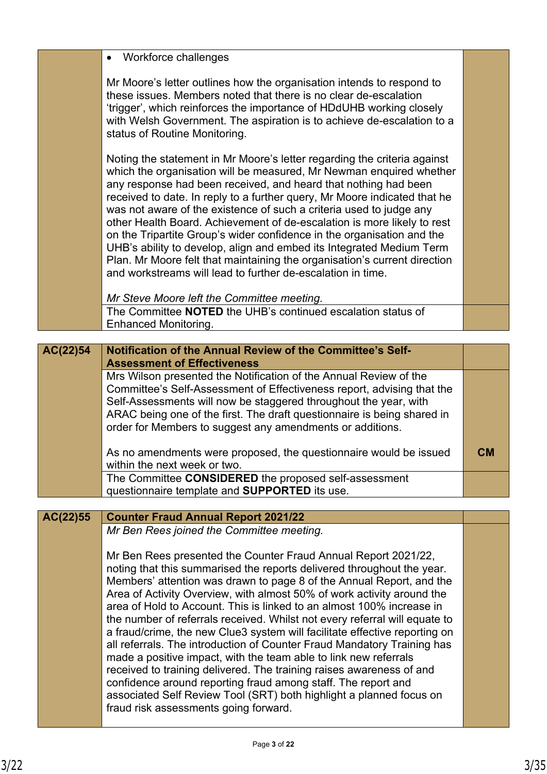|          | Workforce challenges<br>$\bullet$                                                                                                                                                                                                                                                                                                                                                                                                                                                                                                                                                                                                                                                                                                                                                                                                                                                                                                       |           |
|----------|-----------------------------------------------------------------------------------------------------------------------------------------------------------------------------------------------------------------------------------------------------------------------------------------------------------------------------------------------------------------------------------------------------------------------------------------------------------------------------------------------------------------------------------------------------------------------------------------------------------------------------------------------------------------------------------------------------------------------------------------------------------------------------------------------------------------------------------------------------------------------------------------------------------------------------------------|-----------|
|          | Mr Moore's letter outlines how the organisation intends to respond to<br>these issues. Members noted that there is no clear de-escalation<br>'trigger', which reinforces the importance of HDdUHB working closely<br>with Welsh Government. The aspiration is to achieve de-escalation to a<br>status of Routine Monitoring.                                                                                                                                                                                                                                                                                                                                                                                                                                                                                                                                                                                                            |           |
|          | Noting the statement in Mr Moore's letter regarding the criteria against<br>which the organisation will be measured, Mr Newman enquired whether<br>any response had been received, and heard that nothing had been<br>received to date. In reply to a further query, Mr Moore indicated that he<br>was not aware of the existence of such a criteria used to judge any<br>other Health Board. Achievement of de-escalation is more likely to rest<br>on the Tripartite Group's wider confidence in the organisation and the<br>UHB's ability to develop, align and embed its Integrated Medium Term<br>Plan. Mr Moore felt that maintaining the organisation's current direction<br>and workstreams will lead to further de-escalation in time.                                                                                                                                                                                         |           |
|          | Mr Steve Moore left the Committee meeting.                                                                                                                                                                                                                                                                                                                                                                                                                                                                                                                                                                                                                                                                                                                                                                                                                                                                                              |           |
|          | The Committee NOTED the UHB's continued escalation status of<br><b>Enhanced Monitoring.</b>                                                                                                                                                                                                                                                                                                                                                                                                                                                                                                                                                                                                                                                                                                                                                                                                                                             |           |
|          |                                                                                                                                                                                                                                                                                                                                                                                                                                                                                                                                                                                                                                                                                                                                                                                                                                                                                                                                         |           |
| AC(22)54 | Notification of the Annual Review of the Committee's Self-                                                                                                                                                                                                                                                                                                                                                                                                                                                                                                                                                                                                                                                                                                                                                                                                                                                                              |           |
|          | <b>Assessment of Effectiveness</b>                                                                                                                                                                                                                                                                                                                                                                                                                                                                                                                                                                                                                                                                                                                                                                                                                                                                                                      |           |
|          | Mrs Wilson presented the Notification of the Annual Review of the<br>Committee's Self-Assessment of Effectiveness report, advising that the                                                                                                                                                                                                                                                                                                                                                                                                                                                                                                                                                                                                                                                                                                                                                                                             |           |
|          | Self-Assessments will now be staggered throughout the year, with                                                                                                                                                                                                                                                                                                                                                                                                                                                                                                                                                                                                                                                                                                                                                                                                                                                                        |           |
|          | ARAC being one of the first. The draft questionnaire is being shared in                                                                                                                                                                                                                                                                                                                                                                                                                                                                                                                                                                                                                                                                                                                                                                                                                                                                 |           |
|          | order for Members to suggest any amendments or additions.                                                                                                                                                                                                                                                                                                                                                                                                                                                                                                                                                                                                                                                                                                                                                                                                                                                                               |           |
|          | As no amendments were proposed, the questionnaire would be issued<br>within the next week or two.                                                                                                                                                                                                                                                                                                                                                                                                                                                                                                                                                                                                                                                                                                                                                                                                                                       | <b>CM</b> |
|          | The Committee CONSIDERED the proposed self-assessment                                                                                                                                                                                                                                                                                                                                                                                                                                                                                                                                                                                                                                                                                                                                                                                                                                                                                   |           |
|          | questionnaire template and SUPPORTED its use.                                                                                                                                                                                                                                                                                                                                                                                                                                                                                                                                                                                                                                                                                                                                                                                                                                                                                           |           |
| AC(22)55 | <b>Counter Fraud Annual Report 2021/22</b>                                                                                                                                                                                                                                                                                                                                                                                                                                                                                                                                                                                                                                                                                                                                                                                                                                                                                              |           |
|          | Mr Ben Rees joined the Committee meeting.                                                                                                                                                                                                                                                                                                                                                                                                                                                                                                                                                                                                                                                                                                                                                                                                                                                                                               |           |
|          |                                                                                                                                                                                                                                                                                                                                                                                                                                                                                                                                                                                                                                                                                                                                                                                                                                                                                                                                         |           |
|          | Mr Ben Rees presented the Counter Fraud Annual Report 2021/22,<br>noting that this summarised the reports delivered throughout the year.<br>Members' attention was drawn to page 8 of the Annual Report, and the<br>Area of Activity Overview, with almost 50% of work activity around the<br>area of Hold to Account. This is linked to an almost 100% increase in<br>the number of referrals received. Whilst not every referral will equate to<br>a fraud/crime, the new Clue3 system will facilitate effective reporting on<br>all referrals. The introduction of Counter Fraud Mandatory Training has<br>made a positive impact, with the team able to link new referrals<br>received to training delivered. The training raises awareness of and<br>confidence around reporting fraud among staff. The report and<br>associated Self Review Tool (SRT) both highlight a planned focus on<br>fraud risk assessments going forward. |           |
|          |                                                                                                                                                                                                                                                                                                                                                                                                                                                                                                                                                                                                                                                                                                                                                                                                                                                                                                                                         |           |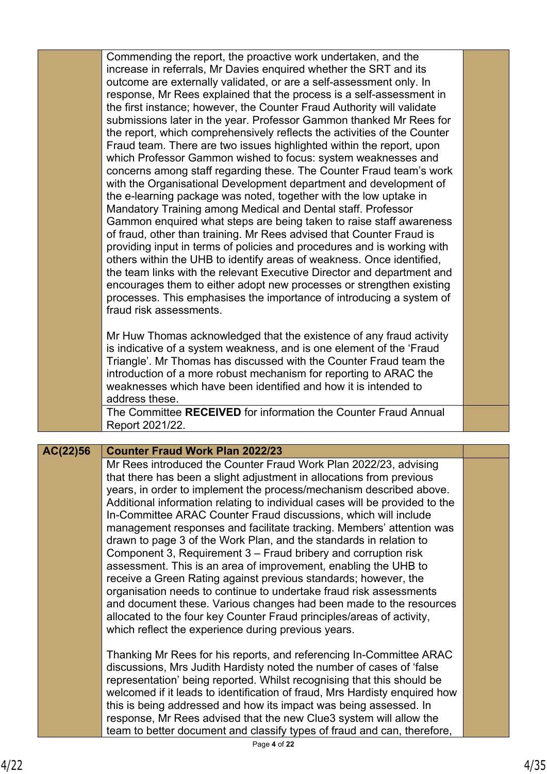|          | Commending the report, the proactive work undertaken, and the<br>increase in referrals, Mr Davies enquired whether the SRT and its<br>outcome are externally validated, or are a self-assessment only. In<br>response, Mr Rees explained that the process is a self-assessment in<br>the first instance; however, the Counter Fraud Authority will validate<br>submissions later in the year. Professor Gammon thanked Mr Rees for<br>the report, which comprehensively reflects the activities of the Counter<br>Fraud team. There are two issues highlighted within the report, upon<br>which Professor Gammon wished to focus: system weaknesses and<br>concerns among staff regarding these. The Counter Fraud team's work<br>with the Organisational Development department and development of<br>the e-learning package was noted, together with the low uptake in<br>Mandatory Training among Medical and Dental staff. Professor<br>Gammon enquired what steps are being taken to raise staff awareness<br>of fraud, other than training. Mr Rees advised that Counter Fraud is<br>providing input in terms of policies and procedures and is working with<br>others within the UHB to identify areas of weakness. Once identified,<br>the team links with the relevant Executive Director and department and<br>encourages them to either adopt new processes or strengthen existing<br>processes. This emphasises the importance of introducing a system of<br>fraud risk assessments. |  |
|----------|--------------------------------------------------------------------------------------------------------------------------------------------------------------------------------------------------------------------------------------------------------------------------------------------------------------------------------------------------------------------------------------------------------------------------------------------------------------------------------------------------------------------------------------------------------------------------------------------------------------------------------------------------------------------------------------------------------------------------------------------------------------------------------------------------------------------------------------------------------------------------------------------------------------------------------------------------------------------------------------------------------------------------------------------------------------------------------------------------------------------------------------------------------------------------------------------------------------------------------------------------------------------------------------------------------------------------------------------------------------------------------------------------------------------------------------------------------------------------------------------------|--|
|          | Mr Huw Thomas acknowledged that the existence of any fraud activity<br>is indicative of a system weakness, and is one element of the 'Fraud<br>Triangle'. Mr Thomas has discussed with the Counter Fraud team the<br>introduction of a more robust mechanism for reporting to ARAC the<br>weaknesses which have been identified and how it is intended to<br>address these.                                                                                                                                                                                                                                                                                                                                                                                                                                                                                                                                                                                                                                                                                                                                                                                                                                                                                                                                                                                                                                                                                                                      |  |
|          | The Committee RECEIVED for information the Counter Fraud Annual<br>Report 2021/22.                                                                                                                                                                                                                                                                                                                                                                                                                                                                                                                                                                                                                                                                                                                                                                                                                                                                                                                                                                                                                                                                                                                                                                                                                                                                                                                                                                                                               |  |
|          |                                                                                                                                                                                                                                                                                                                                                                                                                                                                                                                                                                                                                                                                                                                                                                                                                                                                                                                                                                                                                                                                                                                                                                                                                                                                                                                                                                                                                                                                                                  |  |
| AC(22)56 | <b>Counter Fraud Work Plan 2022/23</b><br>Mr Rees introduced the Counter Fraud Work Plan 2022/23, advising<br>that there has been a slight adjustment in allocations from previous<br>years, in order to implement the process/mechanism described above.<br>Additional information relating to individual cases will be provided to the<br>In-Committee ARAC Counter Fraud discussions, which will include<br>management responses and facilitate tracking. Members' attention was<br>drawn to page 3 of the Work Plan, and the standards in relation to<br>Component 3, Requirement 3 - Fraud bribery and corruption risk<br>assessment. This is an area of improvement, enabling the UHB to<br>receive a Green Rating against previous standards; however, the<br>organisation needs to continue to undertake fraud risk assessments<br>and document these. Various changes had been made to the resources<br>allocated to the four key Counter Fraud principles/areas of activity,<br>which reflect the experience during previous years.                                                                                                                                                                                                                                                                                                                                                                                                                                                    |  |
|          | Thanking Mr Rees for his reports, and referencing In-Committee ARAC<br>discussions, Mrs Judith Hardisty noted the number of cases of 'false<br>representation' being reported. Whilst recognising that this should be<br>welcomed if it leads to identification of fraud, Mrs Hardisty enquired how<br>this is being addressed and how its impact was being assessed. In<br>response, Mr Rees advised that the new Clue3 system will allow the<br>team to better document and classify types of fraud and can, therefore,                                                                                                                                                                                                                                                                                                                                                                                                                                                                                                                                                                                                                                                                                                                                                                                                                                                                                                                                                                        |  |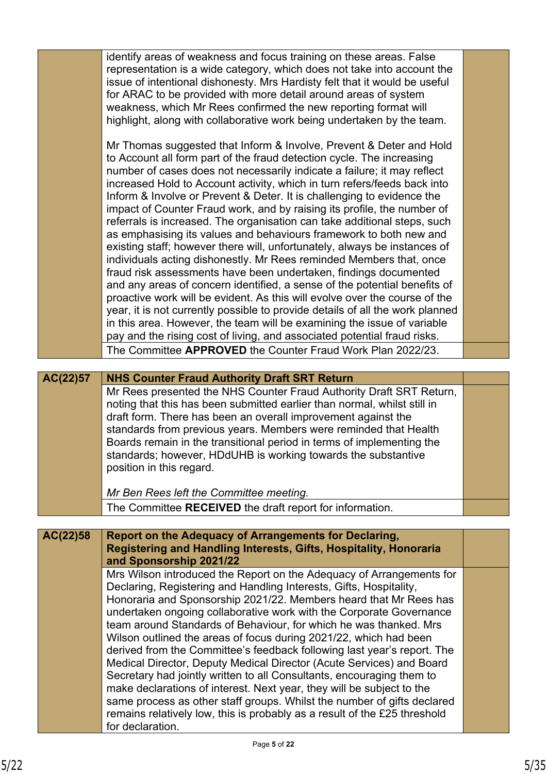|          | identify areas of weakness and focus training on these areas. False<br>representation is a wide category, which does not take into account the<br>issue of intentional dishonesty. Mrs Hardisty felt that it would be useful<br>for ARAC to be provided with more detail around areas of system<br>weakness, which Mr Rees confirmed the new reporting format will<br>highlight, along with collaborative work being undertaken by the team.<br>Mr Thomas suggested that Inform & Involve, Prevent & Deter and Hold<br>to Account all form part of the fraud detection cycle. The increasing<br>number of cases does not necessarily indicate a failure; it may reflect<br>increased Hold to Account activity, which in turn refers/feeds back into<br>Inform & Involve or Prevent & Deter. It is challenging to evidence the<br>impact of Counter Fraud work, and by raising its profile, the number of<br>referrals is increased. The organisation can take additional steps, such<br>as emphasising its values and behaviours framework to both new and<br>existing staff; however there will, unfortunately, always be instances of<br>individuals acting dishonestly. Mr Rees reminded Members that, once<br>fraud risk assessments have been undertaken, findings documented<br>and any areas of concern identified, a sense of the potential benefits of |  |
|----------|-----------------------------------------------------------------------------------------------------------------------------------------------------------------------------------------------------------------------------------------------------------------------------------------------------------------------------------------------------------------------------------------------------------------------------------------------------------------------------------------------------------------------------------------------------------------------------------------------------------------------------------------------------------------------------------------------------------------------------------------------------------------------------------------------------------------------------------------------------------------------------------------------------------------------------------------------------------------------------------------------------------------------------------------------------------------------------------------------------------------------------------------------------------------------------------------------------------------------------------------------------------------------------------------------------------------------------------------------------------------|--|
|          | proactive work will be evident. As this will evolve over the course of the<br>year, it is not currently possible to provide details of all the work planned<br>in this area. However, the team will be examining the issue of variable<br>pay and the rising cost of living, and associated potential fraud risks.                                                                                                                                                                                                                                                                                                                                                                                                                                                                                                                                                                                                                                                                                                                                                                                                                                                                                                                                                                                                                                              |  |
|          | The Committee APPROVED the Counter Fraud Work Plan 2022/23.                                                                                                                                                                                                                                                                                                                                                                                                                                                                                                                                                                                                                                                                                                                                                                                                                                                                                                                                                                                                                                                                                                                                                                                                                                                                                                     |  |
|          |                                                                                                                                                                                                                                                                                                                                                                                                                                                                                                                                                                                                                                                                                                                                                                                                                                                                                                                                                                                                                                                                                                                                                                                                                                                                                                                                                                 |  |
| AC(22)57 | <b>NHS Counter Fraud Authority Draft SRT Return</b>                                                                                                                                                                                                                                                                                                                                                                                                                                                                                                                                                                                                                                                                                                                                                                                                                                                                                                                                                                                                                                                                                                                                                                                                                                                                                                             |  |
|          | Mr Rees presented the NHS Counter Fraud Authority Draft SRT Return,<br>noting that this has been submitted earlier than normal, whilst still in<br>draft form. There has been an overall improvement against the<br>standards from previous years. Members were reminded that Health<br>Boards remain in the transitional period in terms of implementing the<br>standards; however, HDdUHB is working towards the substantive<br>position in this regard.                                                                                                                                                                                                                                                                                                                                                                                                                                                                                                                                                                                                                                                                                                                                                                                                                                                                                                      |  |
|          |                                                                                                                                                                                                                                                                                                                                                                                                                                                                                                                                                                                                                                                                                                                                                                                                                                                                                                                                                                                                                                                                                                                                                                                                                                                                                                                                                                 |  |
|          | Mr Ben Rees left the Committee meeting.                                                                                                                                                                                                                                                                                                                                                                                                                                                                                                                                                                                                                                                                                                                                                                                                                                                                                                                                                                                                                                                                                                                                                                                                                                                                                                                         |  |
|          | The Committee RECEIVED the draft report for information.                                                                                                                                                                                                                                                                                                                                                                                                                                                                                                                                                                                                                                                                                                                                                                                                                                                                                                                                                                                                                                                                                                                                                                                                                                                                                                        |  |
|          |                                                                                                                                                                                                                                                                                                                                                                                                                                                                                                                                                                                                                                                                                                                                                                                                                                                                                                                                                                                                                                                                                                                                                                                                                                                                                                                                                                 |  |
| AC(22)58 | Report on the Adequacy of Arrangements for Declaring,<br>Registering and Handling Interests, Gifts, Hospitality, Honoraria<br>and Sponsorship 2021/22                                                                                                                                                                                                                                                                                                                                                                                                                                                                                                                                                                                                                                                                                                                                                                                                                                                                                                                                                                                                                                                                                                                                                                                                           |  |
|          | Mrs Wilson introduced the Report on the Adequacy of Arrangements for<br>Declaring, Registering and Handling Interests, Gifts, Hospitality,<br>Honoraria and Sponsorship 2021/22. Members heard that Mr Rees has<br>undertaken ongoing collaborative work with the Corporate Governance<br>team around Standards of Behaviour, for which he was thanked. Mrs<br>Wilson outlined the areas of focus during 2021/22, which had been<br>derived from the Committee's feedback following last year's report. The<br>Medical Director, Deputy Medical Director (Acute Services) and Board<br>Secretary had jointly written to all Consultants, encouraging them to                                                                                                                                                                                                                                                                                                                                                                                                                                                                                                                                                                                                                                                                                                    |  |
|          | make declarations of interest. Next year, they will be subject to the<br>same process as other staff groups. Whilst the number of gifts declared<br>remains relatively low, this is probably as a result of the £25 threshold                                                                                                                                                                                                                                                                                                                                                                                                                                                                                                                                                                                                                                                                                                                                                                                                                                                                                                                                                                                                                                                                                                                                   |  |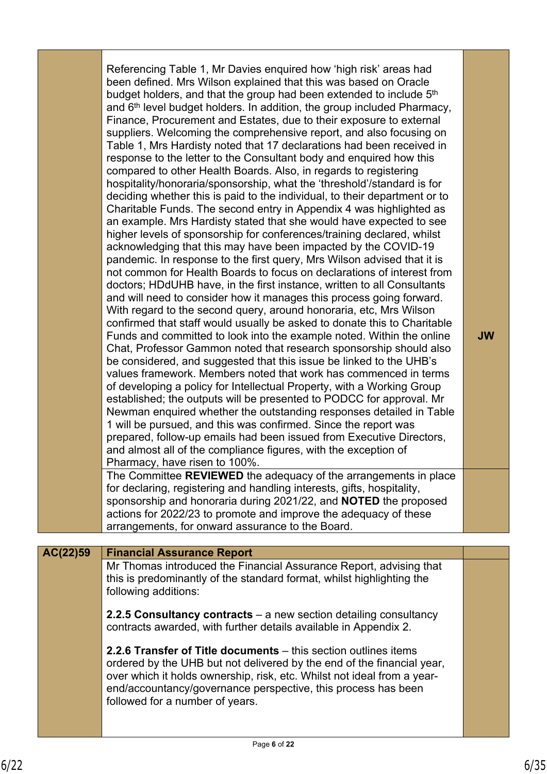| Referencing Table 1, Mr Davies enquired how 'high risk' areas had<br>been defined. Mrs Wilson explained that this was based on Oracle<br>budget holders, and that the group had been extended to include 5 <sup>th</sup><br>and 6 <sup>th</sup> level budget holders. In addition, the group included Pharmacy,<br>Finance, Procurement and Estates, due to their exposure to external<br>suppliers. Welcoming the comprehensive report, and also focusing on<br>Table 1, Mrs Hardisty noted that 17 declarations had been received in<br>response to the letter to the Consultant body and enquired how this<br>compared to other Health Boards. Also, in regards to registering<br>hospitality/honoraria/sponsorship, what the 'threshold'/standard is for<br>deciding whether this is paid to the individual, to their department or to<br>Charitable Funds. The second entry in Appendix 4 was highlighted as<br>an example. Mrs Hardisty stated that she would have expected to see<br>higher levels of sponsorship for conferences/training declared, whilst<br>acknowledging that this may have been impacted by the COVID-19<br>pandemic. In response to the first query, Mrs Wilson advised that it is<br>not common for Health Boards to focus on declarations of interest from<br>doctors; HDdUHB have, in the first instance, written to all Consultants<br>and will need to consider how it manages this process going forward.<br>With regard to the second query, around honoraria, etc, Mrs Wilson<br>confirmed that staff would usually be asked to donate this to Charitable<br>Funds and committed to look into the example noted. Within the online<br>Chat, Professor Gammon noted that research sponsorship should also<br>be considered, and suggested that this issue be linked to the UHB's<br>values framework. Members noted that work has commenced in terms<br>of developing a policy for Intellectual Property, with a Working Group<br>established; the outputs will be presented to PODCC for approval. Mr<br>Newman enquired whether the outstanding responses detailed in Table<br>1 will be pursued, and this was confirmed. Since the report was<br>prepared, follow-up emails had been issued from Executive Directors,<br>and almost all of the compliance figures, with the exception of<br>Pharmacy, have risen to 100%. | <b>JW</b> |
|------------------------------------------------------------------------------------------------------------------------------------------------------------------------------------------------------------------------------------------------------------------------------------------------------------------------------------------------------------------------------------------------------------------------------------------------------------------------------------------------------------------------------------------------------------------------------------------------------------------------------------------------------------------------------------------------------------------------------------------------------------------------------------------------------------------------------------------------------------------------------------------------------------------------------------------------------------------------------------------------------------------------------------------------------------------------------------------------------------------------------------------------------------------------------------------------------------------------------------------------------------------------------------------------------------------------------------------------------------------------------------------------------------------------------------------------------------------------------------------------------------------------------------------------------------------------------------------------------------------------------------------------------------------------------------------------------------------------------------------------------------------------------------------------------------------------------------------------------------------------------------------------------------------------------------------------------------------------------------------------------------------------------------------------------------------------------------------------------------------------------------------------------------------------------------------------------------------------------------------------------------------------------------------------------------------------------------------------------------------|-----------|
| The Committee REVIEWED the adequacy of the arrangements in place                                                                                                                                                                                                                                                                                                                                                                                                                                                                                                                                                                                                                                                                                                                                                                                                                                                                                                                                                                                                                                                                                                                                                                                                                                                                                                                                                                                                                                                                                                                                                                                                                                                                                                                                                                                                                                                                                                                                                                                                                                                                                                                                                                                                                                                                                                 |           |

for declaring, registering and handling interests, gifts, hospitality, sponsorship and honoraria during 2021/22, and **NOTED** the proposed actions for 2022/23 to promote and improve the adequacy of these arrangements, for onward assurance to the Board.

# **AC(22)59 Financial Assurance Report** Mr Thomas introduced the Financial Assurance Report, advising that this is predominantly of the standard format, whilst highlighting the following additions: **2.2.5 Consultancy contracts** – a new section detailing consultancy contracts awarded, with further details available in Appendix 2. **2.2.6 Transfer of Title documents** – this section outlines items ordered by the UHB but not delivered by the end of the financial year, over which it holds ownership, risk, etc. Whilst not ideal from a yearend/accountancy/governance perspective, this process has been followed for a number of years.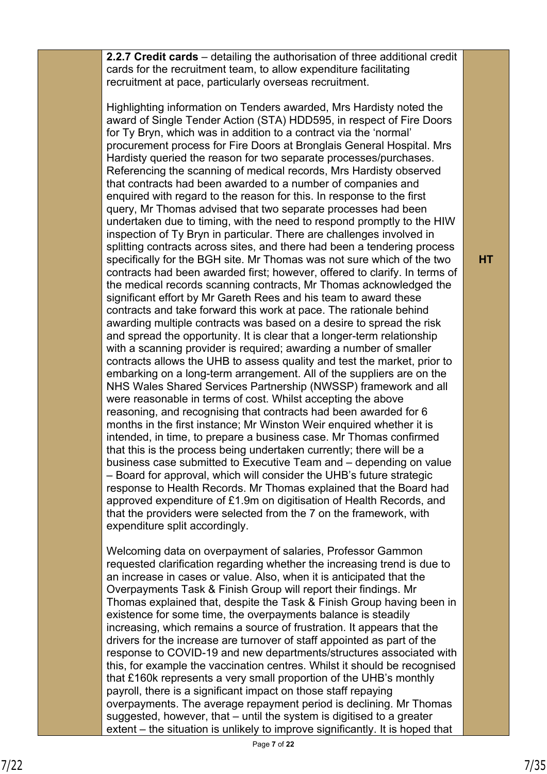**2.2.7 Credit cards** – detailing the authorisation of three additional credit cards for the recruitment team, to allow expenditure facilitating recruitment at pace, particularly overseas recruitment.

Highlighting information on Tenders awarded, Mrs Hardisty noted the award of Single Tender Action (STA) HDD595, in respect of Fire Doors for Ty Bryn, which was in addition to a contract via the 'normal' procurement process for Fire Doors at Bronglais General Hospital. Mrs Hardisty queried the reason for two separate processes/purchases. Referencing the scanning of medical records, Mrs Hardisty observed that contracts had been awarded to a number of companies and enquired with regard to the reason for this. In response to the first query, Mr Thomas advised that two separate processes had been undertaken due to timing, with the need to respond promptly to the HIW inspection of Ty Bryn in particular. There are challenges involved in splitting contracts across sites, and there had been a tendering process specifically for the BGH site. Mr Thomas was not sure which of the two contracts had been awarded first; however, offered to clarify. In terms of the medical records scanning contracts, Mr Thomas acknowledged the significant effort by Mr Gareth Rees and his team to award these contracts and take forward this work at pace. The rationale behind awarding multiple contracts was based on a desire to spread the risk and spread the opportunity. It is clear that a longer-term relationship with a scanning provider is required; awarding a number of smaller contracts allows the UHB to assess quality and test the market, prior to embarking on a long-term arrangement. All of the suppliers are on the NHS Wales Shared Services Partnership (NWSSP) framework and all were reasonable in terms of cost. Whilst accepting the above reasoning, and recognising that contracts had been awarded for 6 months in the first instance; Mr Winston Weir enquired whether it is intended, in time, to prepare a business case. Mr Thomas confirmed that this is the process being undertaken currently; there will be a business case submitted to Executive Team and – depending on value – Board for approval, which will consider the UHB's future strategic response to Health Records. Mr Thomas explained that the Board had approved expenditure of £1.9m on digitisation of Health Records, and that the providers were selected from the 7 on the framework, with expenditure split accordingly.

Welcoming data on overpayment of salaries, Professor Gammon requested clarification regarding whether the increasing trend is due to an increase in cases or value. Also, when it is anticipated that the Overpayments Task & Finish Group will report their findings. Mr Thomas explained that, despite the Task & Finish Group having been in existence for some time, the overpayments balance is steadily increasing, which remains a source of frustration. It appears that the drivers for the increase are turnover of staff appointed as part of the response to COVID-19 and new departments/structures associated with this, for example the vaccination centres. Whilst it should be recognised that £160k represents a very small proportion of the UHB's monthly payroll, there is a significant impact on those staff repaying overpayments. The average repayment period is declining. Mr Thomas suggested, however, that – until the system is digitised to a greater extent – the situation is unlikely to improve significantly. It is hoped that

**HT**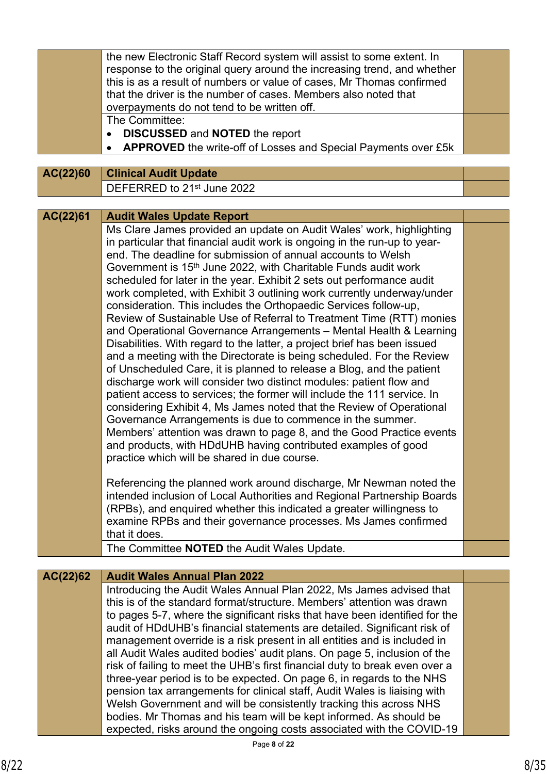| AC(22)60 | the new Electronic Staff Record system will assist to some extent. In<br>response to the original query around the increasing trend, and whether<br>this is as a result of numbers or value of cases, Mr Thomas confirmed<br>that the driver is the number of cases. Members also noted that<br>overpayments do not tend to be written off.<br>The Committee:<br><b>DISCUSSED and NOTED the report</b><br>$\bullet$<br><b>APPROVED</b> the write-off of Losses and Special Payments over £5k<br><b>Clinical Audit Update</b>                                                                                                                                                                                                                                                                                                                                                                                                                                                                                                                                                                                                                                                                                                                                                                                                                                                                                                                                                                 |  |
|----------|----------------------------------------------------------------------------------------------------------------------------------------------------------------------------------------------------------------------------------------------------------------------------------------------------------------------------------------------------------------------------------------------------------------------------------------------------------------------------------------------------------------------------------------------------------------------------------------------------------------------------------------------------------------------------------------------------------------------------------------------------------------------------------------------------------------------------------------------------------------------------------------------------------------------------------------------------------------------------------------------------------------------------------------------------------------------------------------------------------------------------------------------------------------------------------------------------------------------------------------------------------------------------------------------------------------------------------------------------------------------------------------------------------------------------------------------------------------------------------------------|--|
|          | DEFERRED to 21st June 2022                                                                                                                                                                                                                                                                                                                                                                                                                                                                                                                                                                                                                                                                                                                                                                                                                                                                                                                                                                                                                                                                                                                                                                                                                                                                                                                                                                                                                                                                   |  |
|          |                                                                                                                                                                                                                                                                                                                                                                                                                                                                                                                                                                                                                                                                                                                                                                                                                                                                                                                                                                                                                                                                                                                                                                                                                                                                                                                                                                                                                                                                                              |  |
| AC(22)61 | <b>Audit Wales Update Report</b><br>Ms Clare James provided an update on Audit Wales' work, highlighting<br>in particular that financial audit work is ongoing in the run-up to year-<br>end. The deadline for submission of annual accounts to Welsh<br>Government is 15 <sup>th</sup> June 2022, with Charitable Funds audit work<br>scheduled for later in the year. Exhibit 2 sets out performance audit<br>work completed, with Exhibit 3 outlining work currently underway/under<br>consideration. This includes the Orthopaedic Services follow-up,<br>Review of Sustainable Use of Referral to Treatment Time (RTT) monies<br>and Operational Governance Arrangements - Mental Health & Learning<br>Disabilities. With regard to the latter, a project brief has been issued<br>and a meeting with the Directorate is being scheduled. For the Review<br>of Unscheduled Care, it is planned to release a Blog, and the patient<br>discharge work will consider two distinct modules: patient flow and<br>patient access to services; the former will include the 111 service. In<br>considering Exhibit 4, Ms James noted that the Review of Operational<br>Governance Arrangements is due to commence in the summer.<br>Members' attention was drawn to page 8, and the Good Practice events<br>and products, with HDdUHB having contributed examples of good<br>practice which will be shared in due course.<br>Referencing the planned work around discharge, Mr Newman noted the |  |
|          | intended inclusion of Local Authorities and Regional Partnership Boards<br>(RPBs), and enquired whether this indicated a greater willingness to<br>examine RPBs and their governance processes. Ms James confirmed<br>that it does.                                                                                                                                                                                                                                                                                                                                                                                                                                                                                                                                                                                                                                                                                                                                                                                                                                                                                                                                                                                                                                                                                                                                                                                                                                                          |  |
|          | The Committee NOTED the Audit Wales Update.                                                                                                                                                                                                                                                                                                                                                                                                                                                                                                                                                                                                                                                                                                                                                                                                                                                                                                                                                                                                                                                                                                                                                                                                                                                                                                                                                                                                                                                  |  |
| AC(22)62 | <b>Audit Wales Annual Plan 2022</b>                                                                                                                                                                                                                                                                                                                                                                                                                                                                                                                                                                                                                                                                                                                                                                                                                                                                                                                                                                                                                                                                                                                                                                                                                                                                                                                                                                                                                                                          |  |
|          | Introducing the Audit Wales Annual Plan 2022, Ms James advised that<br>this is of the standard format/structure. Members' attention was drawn<br>to pages 5-7, where the significant risks that have been identified for the<br>audit of HDdUHB's financial statements are detailed. Significant risk of<br>management override is a risk present in all entities and is included in<br>all Audit Wales audited bodies' audit plans. On page 5, inclusion of the<br>risk of failing to meet the UHB's first financial duty to break even over a<br>three-year period is to be expected. On page 6, in regards to the NHS<br>pension tax arrangements for clinical staff, Audit Wales is liaising with<br>Welsh Government and will be consistently tracking this across NHS<br>bodies. Mr Thomas and his team will be kept informed. As should be<br>expected, risks around the ongoing costs associated with the COVID-19                                                                                                                                                                                                                                                                                                                                                                                                                                                                                                                                                                   |  |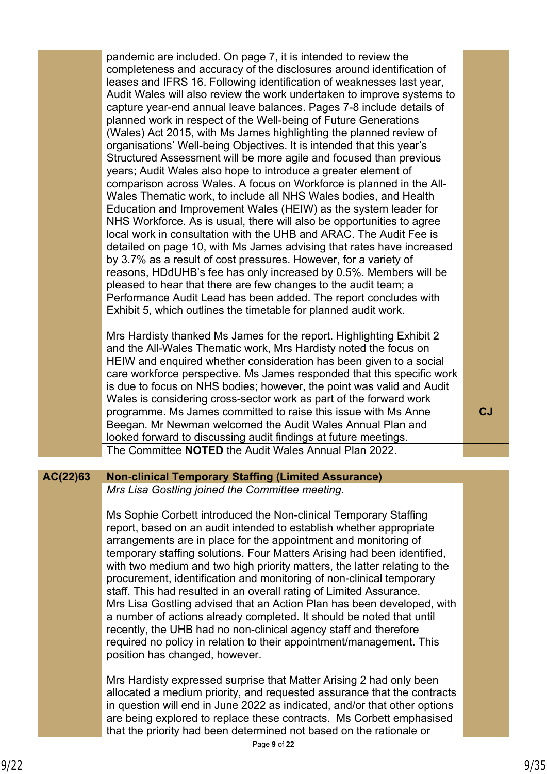|          | pandemic are included. On page 7, it is intended to review the<br>completeness and accuracy of the disclosures around identification of<br>leases and IFRS 16. Following identification of weaknesses last year,<br>Audit Wales will also review the work undertaken to improve systems to<br>capture year-end annual leave balances. Pages 7-8 include details of<br>planned work in respect of the Well-being of Future Generations<br>(Wales) Act 2015, with Ms James highlighting the planned review of<br>organisations' Well-being Objectives. It is intended that this year's<br>Structured Assessment will be more agile and focused than previous<br>years; Audit Wales also hope to introduce a greater element of<br>comparison across Wales. A focus on Workforce is planned in the All-<br>Wales Thematic work, to include all NHS Wales bodies, and Health<br>Education and Improvement Wales (HEIW) as the system leader for<br>NHS Workforce. As is usual, there will also be opportunities to agree<br>local work in consultation with the UHB and ARAC. The Audit Fee is<br>detailed on page 10, with Ms James advising that rates have increased<br>by 3.7% as a result of cost pressures. However, for a variety of<br>reasons, HDdUHB's fee has only increased by 0.5%. Members will be<br>pleased to hear that there are few changes to the audit team; a<br>Performance Audit Lead has been added. The report concludes with<br>Exhibit 5, which outlines the timetable for planned audit work.<br>Mrs Hardisty thanked Ms James for the report. Highlighting Exhibit 2<br>and the All-Wales Thematic work, Mrs Hardisty noted the focus on<br>HEIW and enquired whether consideration has been given to a social |         |
|----------|------------------------------------------------------------------------------------------------------------------------------------------------------------------------------------------------------------------------------------------------------------------------------------------------------------------------------------------------------------------------------------------------------------------------------------------------------------------------------------------------------------------------------------------------------------------------------------------------------------------------------------------------------------------------------------------------------------------------------------------------------------------------------------------------------------------------------------------------------------------------------------------------------------------------------------------------------------------------------------------------------------------------------------------------------------------------------------------------------------------------------------------------------------------------------------------------------------------------------------------------------------------------------------------------------------------------------------------------------------------------------------------------------------------------------------------------------------------------------------------------------------------------------------------------------------------------------------------------------------------------------------------------------------------------------------------------------------------------------------------|---------|
|          | care workforce perspective. Ms James responded that this specific work<br>is due to focus on NHS bodies; however, the point was valid and Audit<br>Wales is considering cross-sector work as part of the forward work<br>programme. Ms James committed to raise this issue with Ms Anne<br>Beegan. Mr Newman welcomed the Audit Wales Annual Plan and                                                                                                                                                                                                                                                                                                                                                                                                                                                                                                                                                                                                                                                                                                                                                                                                                                                                                                                                                                                                                                                                                                                                                                                                                                                                                                                                                                                    | $c_{J}$ |
|          | looked forward to discussing audit findings at future meetings.<br>The Committee NOTED the Audit Wales Annual Plan 2022.                                                                                                                                                                                                                                                                                                                                                                                                                                                                                                                                                                                                                                                                                                                                                                                                                                                                                                                                                                                                                                                                                                                                                                                                                                                                                                                                                                                                                                                                                                                                                                                                                 |         |
|          |                                                                                                                                                                                                                                                                                                                                                                                                                                                                                                                                                                                                                                                                                                                                                                                                                                                                                                                                                                                                                                                                                                                                                                                                                                                                                                                                                                                                                                                                                                                                                                                                                                                                                                                                          |         |
| AC(22)63 | <b>Non-clinical Temporary Staffing (Limited Assurance)</b>                                                                                                                                                                                                                                                                                                                                                                                                                                                                                                                                                                                                                                                                                                                                                                                                                                                                                                                                                                                                                                                                                                                                                                                                                                                                                                                                                                                                                                                                                                                                                                                                                                                                               |         |
|          | Mrs Lisa Gostling joined the Committee meeting.                                                                                                                                                                                                                                                                                                                                                                                                                                                                                                                                                                                                                                                                                                                                                                                                                                                                                                                                                                                                                                                                                                                                                                                                                                                                                                                                                                                                                                                                                                                                                                                                                                                                                          |         |
|          | Ms Sophie Corbett introduced the Non-clinical Temporary Staffing<br>report, based on an audit intended to establish whether appropriate<br>arrangements are in place for the appointment and monitoring of<br>temporary staffing solutions. Four Matters Arising had been identified,<br>with two medium and two high priority matters, the latter relating to the<br>procurement, identification and monitoring of non-clinical temporary<br>staff. This had resulted in an overall rating of Limited Assurance.<br>Mrs Lisa Gostling advised that an Action Plan has been developed, with<br>a number of actions already completed. It should be noted that until<br>recently, the UHB had no non-clinical agency staff and therefore<br>required no policy in relation to their appointment/management. This<br>position has changed, however.                                                                                                                                                                                                                                                                                                                                                                                                                                                                                                                                                                                                                                                                                                                                                                                                                                                                                        |         |
|          | Mrs Hardisty expressed surprise that Matter Arising 2 had only been<br>allocated a medium priority, and requested assurance that the contracts<br>in question will end in June 2022 as indicated, and/or that other options<br>are being explored to replace these contracts. Ms Corbett emphasised                                                                                                                                                                                                                                                                                                                                                                                                                                                                                                                                                                                                                                                                                                                                                                                                                                                                                                                                                                                                                                                                                                                                                                                                                                                                                                                                                                                                                                      |         |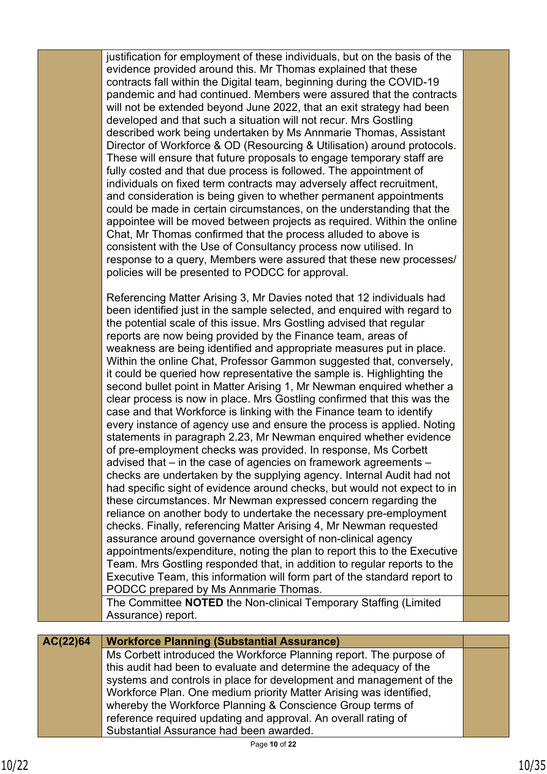justification for employment of these individuals, but on the basis of the evidence provided around this. Mr Thomas explained that these contracts fall within the Digital team, beginning during the COVID-19 pandemic and had continued. Members were assured that the contracts will not be extended beyond June 2022, that an exit strategy had been developed and that such a situation will not recur. Mrs Gostling described work being undertaken by Ms Annmarie Thomas, Assistant Director of Workforce & OD (Resourcing & Utilisation) around protocols. These will ensure that future proposals to engage temporary staff are fully costed and that due process is followed. The appointment of individuals on fixed term contracts may adversely affect recruitment, and consideration is being given to whether permanent appointments could be made in certain circumstances, on the understanding that the appointee will be moved between projects as required. Within the online Chat, Mr Thomas confirmed that the process alluded to above is consistent with the Use of Consultancy process now utilised. In response to a query, Members were assured that these new processes/ policies will be presented to PODCC for approval.

Referencing Matter Arising 3, Mr Davies noted that 12 individuals had been identified just in the sample selected, and enquired with regard to the potential scale of this issue. Mrs Gostling advised that regular reports are now being provided by the Finance team, areas of weakness are being identified and appropriate measures put in place. Within the online Chat, Professor Gammon suggested that, conversely, it could be queried how representative the sample is. Highlighting the second bullet point in Matter Arising 1, Mr Newman enquired whether a clear process is now in place. Mrs Gostling confirmed that this was the case and that Workforce is linking with the Finance team to identify every instance of agency use and ensure the process is applied. Noting statements in paragraph 2.23, Mr Newman enquired whether evidence of pre-employment checks was provided. In response, Ms Corbett advised that – in the case of agencies on framework agreements – checks are undertaken by the supplying agency. Internal Audit had not had specific sight of evidence around checks, but would not expect to in these circumstances. Mr Newman expressed concern regarding the reliance on another body to undertake the necessary pre-employment checks. Finally, referencing Matter Arising 4, Mr Newman requested assurance around governance oversight of non-clinical agency appointments/expenditure, noting the plan to report this to the Executive Team. Mrs Gostling responded that, in addition to regular reports to the Executive Team, this information will form part of the standard report to PODCC prepared by Ms Annmarie Thomas.

The Committee **NOTED** the Non-clinical Temporary Staffing (Limited Assurance) report.

| AC(22)64 | <b>Workforce Planning (Substantial Assurance)</b>                   |  |
|----------|---------------------------------------------------------------------|--|
|          | Ms Corbett introduced the Workforce Planning report. The purpose of |  |
|          | this audit had been to evaluate and determine the adequacy of the   |  |
|          | systems and controls in place for development and management of the |  |
|          | Workforce Plan. One medium priority Matter Arising was identified,  |  |
|          | whereby the Workforce Planning & Conscience Group terms of          |  |
|          | reference required updating and approval. An overall rating of      |  |
|          | Substantial Assurance had been awarded.                             |  |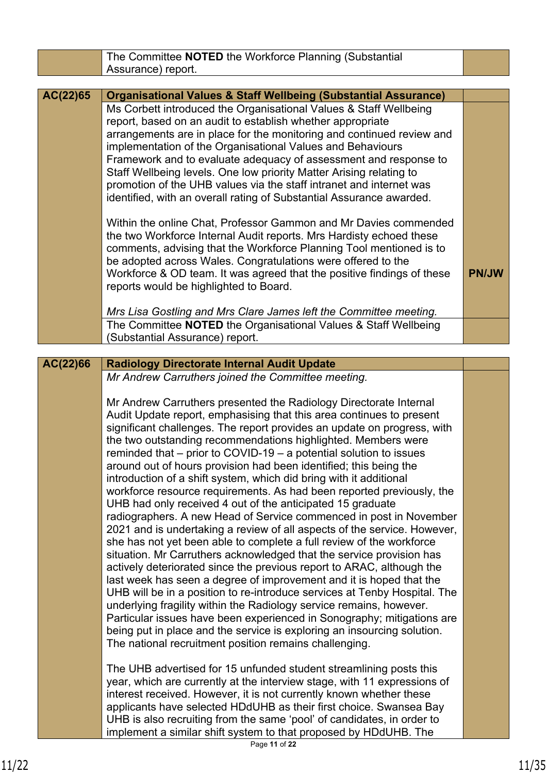|          | The Committee <b>NOTED</b> the Workforce Planning (Substantial                                                                                                                                                                                                                                                                                                                                                                                                                                                                                                                                                                                                                                                                                                                                                                                                                                                                                                                                                                                                                                                                                                                                                                                                                                                                                                                                                                                                         |              |
|----------|------------------------------------------------------------------------------------------------------------------------------------------------------------------------------------------------------------------------------------------------------------------------------------------------------------------------------------------------------------------------------------------------------------------------------------------------------------------------------------------------------------------------------------------------------------------------------------------------------------------------------------------------------------------------------------------------------------------------------------------------------------------------------------------------------------------------------------------------------------------------------------------------------------------------------------------------------------------------------------------------------------------------------------------------------------------------------------------------------------------------------------------------------------------------------------------------------------------------------------------------------------------------------------------------------------------------------------------------------------------------------------------------------------------------------------------------------------------------|--------------|
|          | Assurance) report.                                                                                                                                                                                                                                                                                                                                                                                                                                                                                                                                                                                                                                                                                                                                                                                                                                                                                                                                                                                                                                                                                                                                                                                                                                                                                                                                                                                                                                                     |              |
| AC(22)65 | <b>Organisational Values &amp; Staff Wellbeing (Substantial Assurance)</b>                                                                                                                                                                                                                                                                                                                                                                                                                                                                                                                                                                                                                                                                                                                                                                                                                                                                                                                                                                                                                                                                                                                                                                                                                                                                                                                                                                                             |              |
|          | Ms Corbett introduced the Organisational Values & Staff Wellbeing<br>report, based on an audit to establish whether appropriate<br>arrangements are in place for the monitoring and continued review and<br>implementation of the Organisational Values and Behaviours<br>Framework and to evaluate adequacy of assessment and response to<br>Staff Wellbeing levels. One low priority Matter Arising relating to<br>promotion of the UHB values via the staff intranet and internet was<br>identified, with an overall rating of Substantial Assurance awarded.                                                                                                                                                                                                                                                                                                                                                                                                                                                                                                                                                                                                                                                                                                                                                                                                                                                                                                       |              |
|          | Within the online Chat, Professor Gammon and Mr Davies commended<br>the two Workforce Internal Audit reports. Mrs Hardisty echoed these<br>comments, advising that the Workforce Planning Tool mentioned is to<br>be adopted across Wales. Congratulations were offered to the<br>Workforce & OD team. It was agreed that the positive findings of these<br>reports would be highlighted to Board.                                                                                                                                                                                                                                                                                                                                                                                                                                                                                                                                                                                                                                                                                                                                                                                                                                                                                                                                                                                                                                                                     | <b>PN/JW</b> |
|          | Mrs Lisa Gostling and Mrs Clare James left the Committee meeting.<br>The Committee NOTED the Organisational Values & Staff Wellbeing                                                                                                                                                                                                                                                                                                                                                                                                                                                                                                                                                                                                                                                                                                                                                                                                                                                                                                                                                                                                                                                                                                                                                                                                                                                                                                                                   |              |
|          | (Substantial Assurance) report.                                                                                                                                                                                                                                                                                                                                                                                                                                                                                                                                                                                                                                                                                                                                                                                                                                                                                                                                                                                                                                                                                                                                                                                                                                                                                                                                                                                                                                        |              |
| AC(22)66 | <b>Radiology Directorate Internal Audit Update</b>                                                                                                                                                                                                                                                                                                                                                                                                                                                                                                                                                                                                                                                                                                                                                                                                                                                                                                                                                                                                                                                                                                                                                                                                                                                                                                                                                                                                                     |              |
|          | Mr Andrew Carruthers joined the Committee meeting.                                                                                                                                                                                                                                                                                                                                                                                                                                                                                                                                                                                                                                                                                                                                                                                                                                                                                                                                                                                                                                                                                                                                                                                                                                                                                                                                                                                                                     |              |
|          | Mr Andrew Carruthers presented the Radiology Directorate Internal<br>Audit Update report, emphasising that this area continues to present<br>significant challenges. The report provides an update on progress, with<br>the two outstanding recommendations highlighted. Members were<br>reminded that $-$ prior to COVID-19 $-$ a potential solution to issues<br>around out of hours provision had been identified; this being the<br>introduction of a shift system, which did bring with it additional<br>workforce resource requirements. As had been reported previously, the<br>UHB had only received 4 out of the anticipated 15 graduate<br>radiographers. A new Head of Service commenced in post in November<br>2021 and is undertaking a review of all aspects of the service. However,<br>she has not yet been able to complete a full review of the workforce<br>situation. Mr Carruthers acknowledged that the service provision has<br>actively deteriorated since the previous report to ARAC, although the<br>last week has seen a degree of improvement and it is hoped that the<br>UHB will be in a position to re-introduce services at Tenby Hospital. The<br>underlying fragility within the Radiology service remains, however.<br>Particular issues have been experienced in Sonography; mitigations are<br>being put in place and the service is exploring an insourcing solution.<br>The national recruitment position remains challenging. |              |
|          | The UHB advertised for 15 unfunded student streamlining posts this<br>year, which are currently at the interview stage, with 11 expressions of<br>interest received. However, it is not currently known whether these<br>applicants have selected HDdUHB as their first choice. Swansea Bay<br>UHB is also recruiting from the same 'pool' of candidates, in order to<br>implement a similar shift system to that proposed by HDdUHB. The                                                                                                                                                                                                                                                                                                                                                                                                                                                                                                                                                                                                                                                                                                                                                                                                                                                                                                                                                                                                                              |              |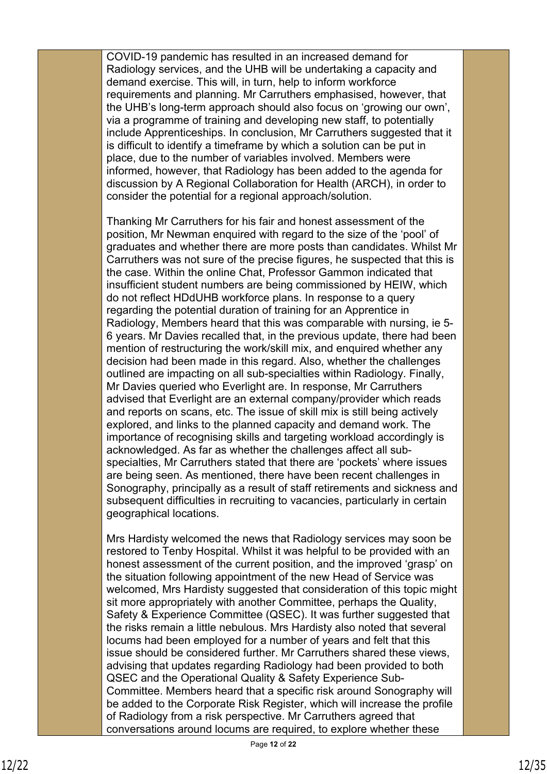COVID-19 pandemic has resulted in an increased demand for Radiology services, and the UHB will be undertaking a capacity and demand exercise. This will, in turn, help to inform workforce requirements and planning. Mr Carruthers emphasised, however, that the UHB's long-term approach should also focus on 'growing our own', via a programme of training and developing new staff, to potentially include Apprenticeships. In conclusion, Mr Carruthers suggested that it is difficult to identify a timeframe by which a solution can be put in place, due to the number of variables involved. Members were informed, however, that Radiology has been added to the agenda for discussion by A Regional Collaboration for Health (ARCH), in order to consider the potential for a regional approach/solution.

Thanking Mr Carruthers for his fair and honest assessment of the position, Mr Newman enquired with regard to the size of the 'pool' of graduates and whether there are more posts than candidates. Whilst Mr Carruthers was not sure of the precise figures, he suspected that this is the case. Within the online Chat, Professor Gammon indicated that insufficient student numbers are being commissioned by HEIW, which do not reflect HDdUHB workforce plans. In response to a query regarding the potential duration of training for an Apprentice in Radiology, Members heard that this was comparable with nursing, ie 5- 6 years. Mr Davies recalled that, in the previous update, there had been mention of restructuring the work/skill mix, and enquired whether any decision had been made in this regard. Also, whether the challenges outlined are impacting on all sub-specialties within Radiology. Finally, Mr Davies queried who Everlight are. In response, Mr Carruthers advised that Everlight are an external company/provider which reads and reports on scans, etc. The issue of skill mix is still being actively explored, and links to the planned capacity and demand work. The importance of recognising skills and targeting workload accordingly is acknowledged. As far as whether the challenges affect all subspecialties, Mr Carruthers stated that there are 'pockets' where issues are being seen. As mentioned, there have been recent challenges in Sonography, principally as a result of staff retirements and sickness and subsequent difficulties in recruiting to vacancies, particularly in certain geographical locations.

Mrs Hardisty welcomed the news that Radiology services may soon be restored to Tenby Hospital. Whilst it was helpful to be provided with an honest assessment of the current position, and the improved 'grasp' on the situation following appointment of the new Head of Service was welcomed, Mrs Hardisty suggested that consideration of this topic might sit more appropriately with another Committee, perhaps the Quality, Safety & Experience Committee (QSEC). It was further suggested that the risks remain a little nebulous. Mrs Hardisty also noted that several locums had been employed for a number of years and felt that this issue should be considered further. Mr Carruthers shared these views, advising that updates regarding Radiology had been provided to both QSEC and the Operational Quality & Safety Experience Sub-Committee. Members heard that a specific risk around Sonography will be added to the Corporate Risk Register, which will increase the profile of Radiology from a risk perspective. Mr Carruthers agreed that conversations around locums are required, to explore whether these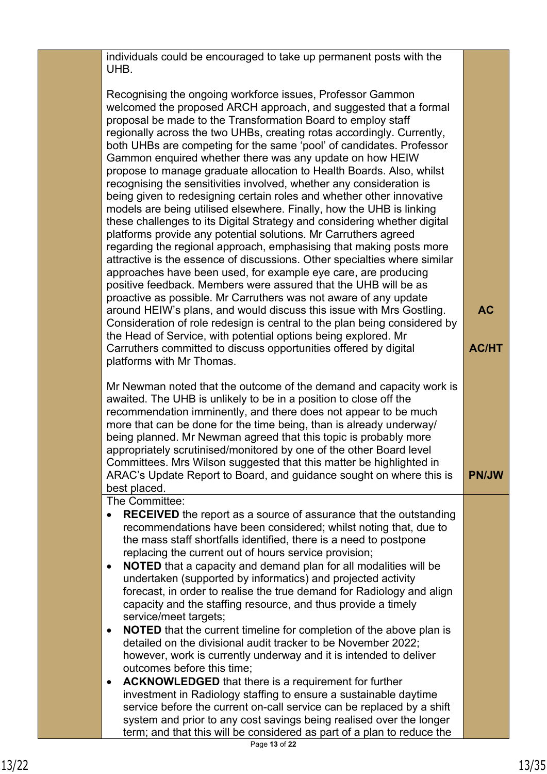individuals could be encouraged to take up permanent posts with the UHB.

Recognising the ongoing workforce issues, Professor Gammon welcomed the proposed ARCH approach, and suggested that a formal proposal be made to the Transformation Board to employ staff regionally across the two UHBs, creating rotas accordingly. Currently, both UHBs are competing for the same 'pool' of candidates. Professor Gammon enquired whether there was any update on how HEIW propose to manage graduate allocation to Health Boards. Also, whilst recognising the sensitivities involved, whether any consideration is being given to redesigning certain roles and whether other innovative models are being utilised elsewhere. Finally, how the UHB is linking these challenges to its Digital Strategy and considering whether digital platforms provide any potential solutions. Mr Carruthers agreed regarding the regional approach, emphasising that making posts more attractive is the essence of discussions. Other specialties where similar approaches have been used, for example eye care, are producing positive feedback. Members were assured that the UHB will be as proactive as possible. Mr Carruthers was not aware of any update around HEIW's plans, and would discuss this issue with Mrs Gostling. Consideration of role redesign is central to the plan being considered by the Head of Service, with potential options being explored. Mr Carruthers committed to discuss opportunities offered by digital platforms with Mr Thomas. **AC AC/HT**

Mr Newman noted that the outcome of the demand and capacity work is awaited. The UHB is unlikely to be in a position to close off the recommendation imminently, and there does not appear to be much more that can be done for the time being, than is already underway/ being planned. Mr Newman agreed that this topic is probably more appropriately scrutinised/monitored by one of the other Board level Committees. Mrs Wilson suggested that this matter be highlighted in ARAC's Update Report to Board, and guidance sought on where this is best placed.

The Committee:

- **RECEIVED** the report as a source of assurance that the outstanding recommendations have been considered; whilst noting that, due to the mass staff shortfalls identified, there is a need to postpone replacing the current out of hours service provision;
- **NOTED** that a capacity and demand plan for all modalities will be undertaken (supported by informatics) and projected activity forecast, in order to realise the true demand for Radiology and align capacity and the staffing resource, and thus provide a timely service/meet targets;
- **NOTED** that the current timeline for completion of the above plan is detailed on the divisional audit tracker to be November 2022; however, work is currently underway and it is intended to deliver outcomes before this time;
- **ACKNOWLEDGED** that there is a requirement for further investment in Radiology staffing to ensure a sustainable daytime service before the current on-call service can be replaced by a shift system and prior to any cost savings being realised over the longer term; and that this will be considered as part of a plan to reduce the

**PN/JW**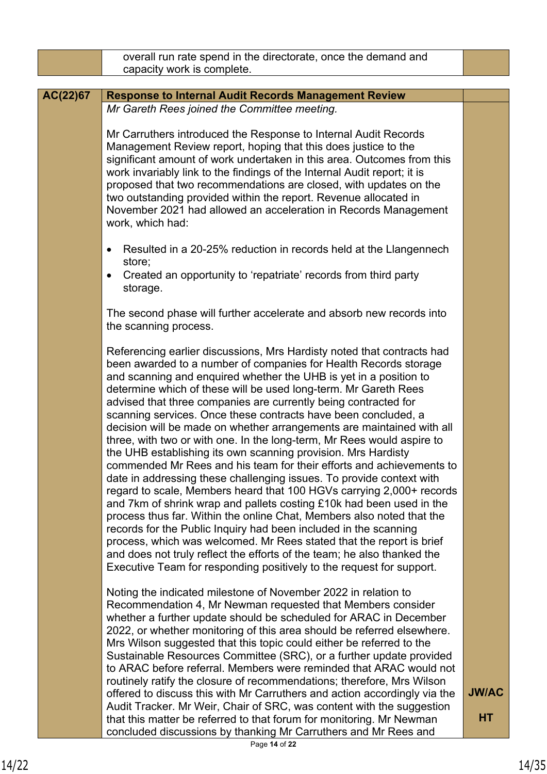|          | overall run rate spend in the directorate, once the demand and                                                                                                                                                                                                                                                                                                                                                                                                                                                                                                                                                                                                                                                                                                                                                                                                                                                                                                                                                                                                                                                                                                                                                                                                                                                      |              |
|----------|---------------------------------------------------------------------------------------------------------------------------------------------------------------------------------------------------------------------------------------------------------------------------------------------------------------------------------------------------------------------------------------------------------------------------------------------------------------------------------------------------------------------------------------------------------------------------------------------------------------------------------------------------------------------------------------------------------------------------------------------------------------------------------------------------------------------------------------------------------------------------------------------------------------------------------------------------------------------------------------------------------------------------------------------------------------------------------------------------------------------------------------------------------------------------------------------------------------------------------------------------------------------------------------------------------------------|--------------|
|          | capacity work is complete.                                                                                                                                                                                                                                                                                                                                                                                                                                                                                                                                                                                                                                                                                                                                                                                                                                                                                                                                                                                                                                                                                                                                                                                                                                                                                          |              |
|          |                                                                                                                                                                                                                                                                                                                                                                                                                                                                                                                                                                                                                                                                                                                                                                                                                                                                                                                                                                                                                                                                                                                                                                                                                                                                                                                     |              |
| AC(22)67 | <b>Response to Internal Audit Records Management Review</b><br>Mr Gareth Rees joined the Committee meeting.                                                                                                                                                                                                                                                                                                                                                                                                                                                                                                                                                                                                                                                                                                                                                                                                                                                                                                                                                                                                                                                                                                                                                                                                         |              |
|          |                                                                                                                                                                                                                                                                                                                                                                                                                                                                                                                                                                                                                                                                                                                                                                                                                                                                                                                                                                                                                                                                                                                                                                                                                                                                                                                     |              |
|          | Mr Carruthers introduced the Response to Internal Audit Records<br>Management Review report, hoping that this does justice to the<br>significant amount of work undertaken in this area. Outcomes from this<br>work invariably link to the findings of the Internal Audit report; it is<br>proposed that two recommendations are closed, with updates on the<br>two outstanding provided within the report. Revenue allocated in<br>November 2021 had allowed an acceleration in Records Management<br>work, which had:                                                                                                                                                                                                                                                                                                                                                                                                                                                                                                                                                                                                                                                                                                                                                                                             |              |
|          | Resulted in a 20-25% reduction in records held at the Llangennech<br>٠<br>store;                                                                                                                                                                                                                                                                                                                                                                                                                                                                                                                                                                                                                                                                                                                                                                                                                                                                                                                                                                                                                                                                                                                                                                                                                                    |              |
|          | Created an opportunity to 'repatriate' records from third party<br>$\bullet$<br>storage.                                                                                                                                                                                                                                                                                                                                                                                                                                                                                                                                                                                                                                                                                                                                                                                                                                                                                                                                                                                                                                                                                                                                                                                                                            |              |
|          | The second phase will further accelerate and absorb new records into<br>the scanning process.                                                                                                                                                                                                                                                                                                                                                                                                                                                                                                                                                                                                                                                                                                                                                                                                                                                                                                                                                                                                                                                                                                                                                                                                                       |              |
|          | Referencing earlier discussions, Mrs Hardisty noted that contracts had<br>been awarded to a number of companies for Health Records storage<br>and scanning and enquired whether the UHB is yet in a position to<br>determine which of these will be used long-term. Mr Gareth Rees<br>advised that three companies are currently being contracted for<br>scanning services. Once these contracts have been concluded, a<br>decision will be made on whether arrangements are maintained with all<br>three, with two or with one. In the long-term, Mr Rees would aspire to<br>the UHB establishing its own scanning provision. Mrs Hardisty<br>commended Mr Rees and his team for their efforts and achievements to<br>date in addressing these challenging issues. To provide context with<br>regard to scale, Members heard that 100 HGVs carrying 2,000+ records<br>and 7km of shrink wrap and pallets costing £10k had been used in the<br>process thus far. Within the online Chat, Members also noted that the<br>records for the Public Inquiry had been included in the scanning<br>process, which was welcomed. Mr Rees stated that the report is brief<br>and does not truly reflect the efforts of the team; he also thanked the<br>Executive Team for responding positively to the request for support. |              |
|          | Noting the indicated milestone of November 2022 in relation to<br>Recommendation 4, Mr Newman requested that Members consider<br>whether a further update should be scheduled for ARAC in December<br>2022, or whether monitoring of this area should be referred elsewhere.<br>Mrs Wilson suggested that this topic could either be referred to the<br>Sustainable Resources Committee (SRC), or a further update provided<br>to ARAC before referral. Members were reminded that ARAC would not<br>routinely ratify the closure of recommendations; therefore, Mrs Wilson<br>offered to discuss this with Mr Carruthers and action accordingly via the                                                                                                                                                                                                                                                                                                                                                                                                                                                                                                                                                                                                                                                            | <b>JW/AC</b> |
|          | Audit Tracker. Mr Weir, Chair of SRC, was content with the suggestion<br>that this matter be referred to that forum for monitoring. Mr Newman<br>concluded discussions by thanking Mr Carruthers and Mr Rees and                                                                                                                                                                                                                                                                                                                                                                                                                                                                                                                                                                                                                                                                                                                                                                                                                                                                                                                                                                                                                                                                                                    | <b>HT</b>    |
|          | Page 14 of 22                                                                                                                                                                                                                                                                                                                                                                                                                                                                                                                                                                                                                                                                                                                                                                                                                                                                                                                                                                                                                                                                                                                                                                                                                                                                                                       |              |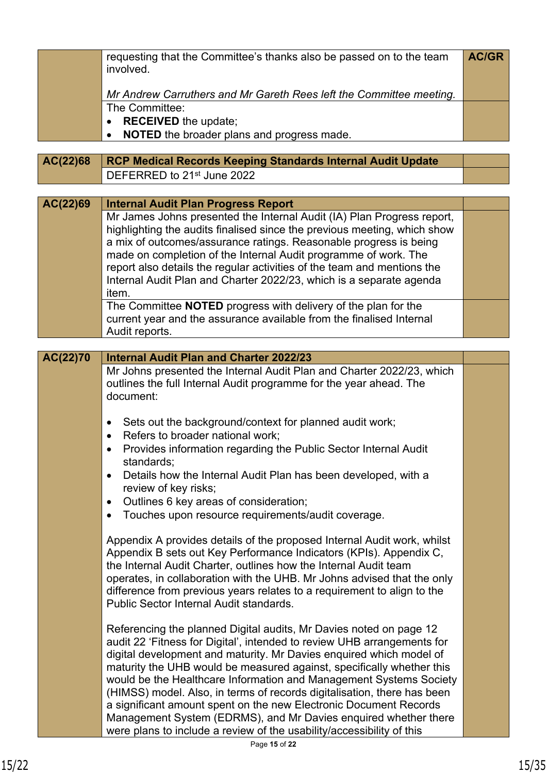|          | requesting that the Committee's thanks also be passed on to the team<br>involved.                                                             | <b>AC/GR</b> |
|----------|-----------------------------------------------------------------------------------------------------------------------------------------------|--------------|
|          | Mr Andrew Carruthers and Mr Gareth Rees left the Committee meeting.                                                                           |              |
|          | The Committee:                                                                                                                                |              |
|          | <b>RECEIVED</b> the update;<br>$\bullet$                                                                                                      |              |
|          | NOTED the broader plans and progress made.                                                                                                    |              |
|          |                                                                                                                                               |              |
| AC(22)68 | <b>RCP Medical Records Keeping Standards Internal Audit Update</b><br>DEFERRED to 21 <sup>st</sup> June 2022                                  |              |
|          |                                                                                                                                               |              |
| AC(22)69 | <b>Internal Audit Plan Progress Report</b>                                                                                                    |              |
|          | Mr James Johns presented the Internal Audit (IA) Plan Progress report,                                                                        |              |
|          | highlighting the audits finalised since the previous meeting, which show                                                                      |              |
|          | a mix of outcomes/assurance ratings. Reasonable progress is being                                                                             |              |
|          | made on completion of the Internal Audit programme of work. The                                                                               |              |
|          | report also details the regular activities of the team and mentions the                                                                       |              |
|          | Internal Audit Plan and Charter 2022/23, which is a separate agenda<br>item.                                                                  |              |
|          | The Committee NOTED progress with delivery of the plan for the                                                                                |              |
|          | current year and the assurance available from the finalised Internal                                                                          |              |
|          | Audit reports.                                                                                                                                |              |
|          | <b>Internal Audit Plan and Charter 2022/23</b>                                                                                                |              |
| AC(22)70 | Mr Johns presented the Internal Audit Plan and Charter 2022/23, which                                                                         |              |
|          | outlines the full Internal Audit programme for the year ahead. The                                                                            |              |
|          | document:                                                                                                                                     |              |
|          |                                                                                                                                               |              |
|          | Sets out the background/context for planned audit work;<br>$\bullet$                                                                          |              |
|          | Refers to broader national work;<br>$\bullet$                                                                                                 |              |
|          | Provides information regarding the Public Sector Internal Audit<br>standards;                                                                 |              |
|          | Details how the Internal Audit Plan has been developed, with a<br>$\bullet$                                                                   |              |
|          | review of key risks;                                                                                                                          |              |
|          | Outlines 6 key areas of consideration;<br>$\bullet$                                                                                           |              |
|          | Touches upon resource requirements/audit coverage.<br>$\bullet$                                                                               |              |
|          |                                                                                                                                               |              |
|          | Appendix A provides details of the proposed Internal Audit work, whilst<br>Appendix B sets out Key Performance Indicators (KPIs). Appendix C, |              |
|          | the Internal Audit Charter, outlines how the Internal Audit team                                                                              |              |
|          | operates, in collaboration with the UHB. Mr Johns advised that the only                                                                       |              |
|          | difference from previous years relates to a requirement to align to the                                                                       |              |
|          | Public Sector Internal Audit standards.                                                                                                       |              |
|          | Referencing the planned Digital audits, Mr Davies noted on page 12                                                                            |              |
|          | audit 22 'Fitness for Digital', intended to review UHB arrangements for                                                                       |              |
|          | digital development and maturity. Mr Davies enquired which model of                                                                           |              |
|          | maturity the UHB would be measured against, specifically whether this                                                                         |              |
|          | would be the Healthcare Information and Management Systems Society                                                                            |              |
|          | (HIMSS) model. Also, in terms of records digitalisation, there has been<br>a significant amount spent on the new Electronic Document Records  |              |
|          | Management System (EDRMS), and Mr Davies enquired whether there                                                                               |              |
|          | were plans to include a review of the usability/accessibility of this                                                                         |              |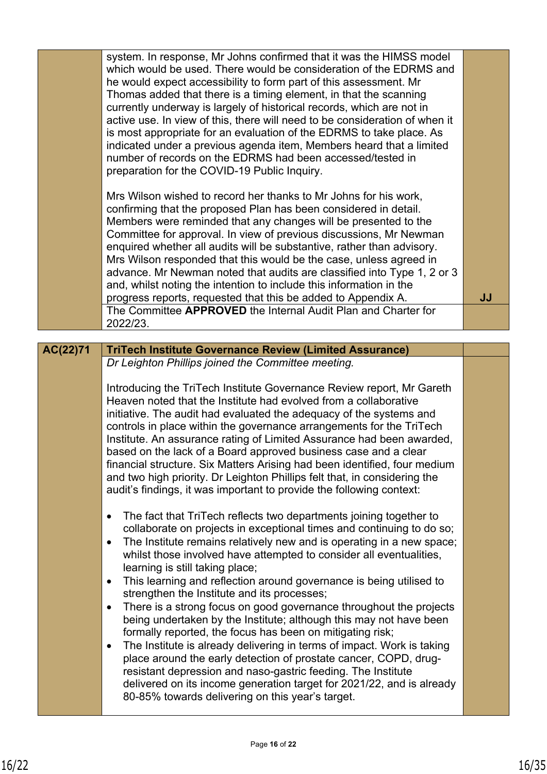|          | system. In response, Mr Johns confirmed that it was the HIMSS model<br>which would be used. There would be consideration of the EDRMS and<br>he would expect accessibility to form part of this assessment. Mr<br>Thomas added that there is a timing element, in that the scanning<br>currently underway is largely of historical records, which are not in<br>active use. In view of this, there will need to be consideration of when it<br>is most appropriate for an evaluation of the EDRMS to take place. As<br>indicated under a previous agenda item, Members heard that a limited<br>number of records on the EDRMS had been accessed/tested in<br>preparation for the COVID-19 Public Inquiry.<br>Mrs Wilson wished to record her thanks to Mr Johns for his work,<br>confirming that the proposed Plan has been considered in detail.<br>Members were reminded that any changes will be presented to the<br>Committee for approval. In view of previous discussions, Mr Newman<br>enquired whether all audits will be substantive, rather than advisory.<br>Mrs Wilson responded that this would be the case, unless agreed in<br>advance. Mr Newman noted that audits are classified into Type 1, 2 or 3<br>and, whilst noting the intention to include this information in the |    |
|----------|----------------------------------------------------------------------------------------------------------------------------------------------------------------------------------------------------------------------------------------------------------------------------------------------------------------------------------------------------------------------------------------------------------------------------------------------------------------------------------------------------------------------------------------------------------------------------------------------------------------------------------------------------------------------------------------------------------------------------------------------------------------------------------------------------------------------------------------------------------------------------------------------------------------------------------------------------------------------------------------------------------------------------------------------------------------------------------------------------------------------------------------------------------------------------------------------------------------------------------------------------------------------------------------------|----|
|          | progress reports, requested that this be added to Appendix A.                                                                                                                                                                                                                                                                                                                                                                                                                                                                                                                                                                                                                                                                                                                                                                                                                                                                                                                                                                                                                                                                                                                                                                                                                                | JJ |
|          | The Committee APPROVED the Internal Audit Plan and Charter for<br>2022/23.                                                                                                                                                                                                                                                                                                                                                                                                                                                                                                                                                                                                                                                                                                                                                                                                                                                                                                                                                                                                                                                                                                                                                                                                                   |    |
|          |                                                                                                                                                                                                                                                                                                                                                                                                                                                                                                                                                                                                                                                                                                                                                                                                                                                                                                                                                                                                                                                                                                                                                                                                                                                                                              |    |
| AC(22)71 | <b>TriTech Institute Governance Review (Limited Assurance)</b>                                                                                                                                                                                                                                                                                                                                                                                                                                                                                                                                                                                                                                                                                                                                                                                                                                                                                                                                                                                                                                                                                                                                                                                                                               |    |
|          | Dr Leighton Phillips joined the Committee meeting.                                                                                                                                                                                                                                                                                                                                                                                                                                                                                                                                                                                                                                                                                                                                                                                                                                                                                                                                                                                                                                                                                                                                                                                                                                           |    |
|          | Introducing the TriTech Institute Governance Review report, Mr Gareth                                                                                                                                                                                                                                                                                                                                                                                                                                                                                                                                                                                                                                                                                                                                                                                                                                                                                                                                                                                                                                                                                                                                                                                                                        |    |
|          | Heaven noted that the Institute had evolved from a collaborative                                                                                                                                                                                                                                                                                                                                                                                                                                                                                                                                                                                                                                                                                                                                                                                                                                                                                                                                                                                                                                                                                                                                                                                                                             |    |
|          | initiative. The audit had evaluated the adequacy of the systems and<br>controls in place within the governance arrangements for the TriTech                                                                                                                                                                                                                                                                                                                                                                                                                                                                                                                                                                                                                                                                                                                                                                                                                                                                                                                                                                                                                                                                                                                                                  |    |
|          | Institute. An assurance rating of Limited Assurance had been awarded,                                                                                                                                                                                                                                                                                                                                                                                                                                                                                                                                                                                                                                                                                                                                                                                                                                                                                                                                                                                                                                                                                                                                                                                                                        |    |
|          | based on the lack of a Board approved business case and a clear<br>financial structure. Six Matters Arising had been identified, four medium                                                                                                                                                                                                                                                                                                                                                                                                                                                                                                                                                                                                                                                                                                                                                                                                                                                                                                                                                                                                                                                                                                                                                 |    |
|          | and two high priority. Dr Leighton Phillips felt that, in considering the                                                                                                                                                                                                                                                                                                                                                                                                                                                                                                                                                                                                                                                                                                                                                                                                                                                                                                                                                                                                                                                                                                                                                                                                                    |    |
|          | audit's findings, it was important to provide the following context:                                                                                                                                                                                                                                                                                                                                                                                                                                                                                                                                                                                                                                                                                                                                                                                                                                                                                                                                                                                                                                                                                                                                                                                                                         |    |
|          | The fact that TriTech reflects two departments joining together to<br>$\bullet$                                                                                                                                                                                                                                                                                                                                                                                                                                                                                                                                                                                                                                                                                                                                                                                                                                                                                                                                                                                                                                                                                                                                                                                                              |    |
|          | collaborate on projects in exceptional times and continuing to do so;                                                                                                                                                                                                                                                                                                                                                                                                                                                                                                                                                                                                                                                                                                                                                                                                                                                                                                                                                                                                                                                                                                                                                                                                                        |    |
|          | The Institute remains relatively new and is operating in a new space;<br>$\bullet$                                                                                                                                                                                                                                                                                                                                                                                                                                                                                                                                                                                                                                                                                                                                                                                                                                                                                                                                                                                                                                                                                                                                                                                                           |    |
|          | whilst those involved have attempted to consider all eventualities,<br>learning is still taking place;                                                                                                                                                                                                                                                                                                                                                                                                                                                                                                                                                                                                                                                                                                                                                                                                                                                                                                                                                                                                                                                                                                                                                                                       |    |
|          | This learning and reflection around governance is being utilised to<br>$\bullet$                                                                                                                                                                                                                                                                                                                                                                                                                                                                                                                                                                                                                                                                                                                                                                                                                                                                                                                                                                                                                                                                                                                                                                                                             |    |
|          | strengthen the Institute and its processes;<br>There is a strong focus on good governance throughout the projects<br>$\bullet$                                                                                                                                                                                                                                                                                                                                                                                                                                                                                                                                                                                                                                                                                                                                                                                                                                                                                                                                                                                                                                                                                                                                                               |    |
|          | being undertaken by the Institute; although this may not have been<br>formally reported, the focus has been on mitigating risk;                                                                                                                                                                                                                                                                                                                                                                                                                                                                                                                                                                                                                                                                                                                                                                                                                                                                                                                                                                                                                                                                                                                                                              |    |
|          | The Institute is already delivering in terms of impact. Work is taking<br>$\bullet$                                                                                                                                                                                                                                                                                                                                                                                                                                                                                                                                                                                                                                                                                                                                                                                                                                                                                                                                                                                                                                                                                                                                                                                                          |    |
|          | place around the early detection of prostate cancer, COPD, drug-                                                                                                                                                                                                                                                                                                                                                                                                                                                                                                                                                                                                                                                                                                                                                                                                                                                                                                                                                                                                                                                                                                                                                                                                                             |    |
|          | resistant depression and naso-gastric feeding. The Institute<br>delivered on its income generation target for 2021/22, and is already                                                                                                                                                                                                                                                                                                                                                                                                                                                                                                                                                                                                                                                                                                                                                                                                                                                                                                                                                                                                                                                                                                                                                        |    |
|          | 80-85% towards delivering on this year's target.                                                                                                                                                                                                                                                                                                                                                                                                                                                                                                                                                                                                                                                                                                                                                                                                                                                                                                                                                                                                                                                                                                                                                                                                                                             |    |
|          |                                                                                                                                                                                                                                                                                                                                                                                                                                                                                                                                                                                                                                                                                                                                                                                                                                                                                                                                                                                                                                                                                                                                                                                                                                                                                              |    |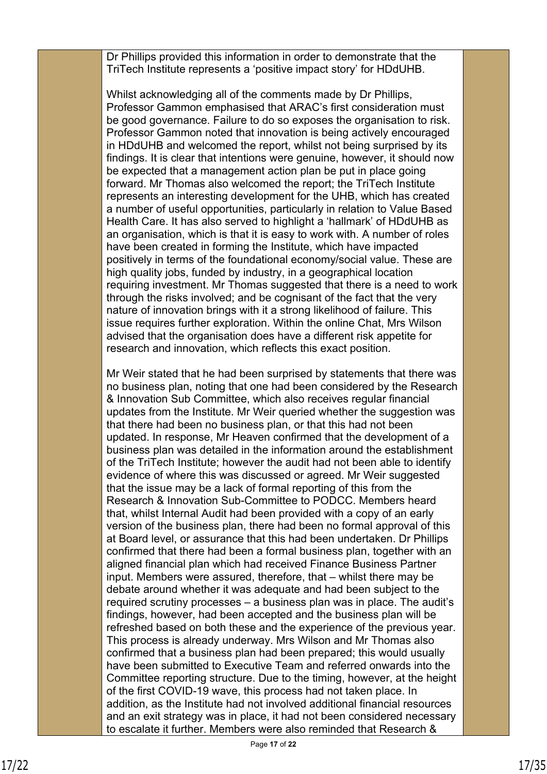Dr Phillips provided this information in order to demonstrate that the TriTech Institute represents a 'positive impact story' for HDdUHB.

Whilst acknowledging all of the comments made by Dr Phillips, Professor Gammon emphasised that ARAC's first consideration must be good governance. Failure to do so exposes the organisation to risk. Professor Gammon noted that innovation is being actively encouraged in HDdUHB and welcomed the report, whilst not being surprised by its findings. It is clear that intentions were genuine, however, it should now be expected that a management action plan be put in place going forward. Mr Thomas also welcomed the report; the TriTech Institute represents an interesting development for the UHB, which has created a number of useful opportunities, particularly in relation to Value Based Health Care. It has also served to highlight a 'hallmark' of HDdUHB as an organisation, which is that it is easy to work with. A number of roles have been created in forming the Institute, which have impacted positively in terms of the foundational economy/social value. These are high quality jobs, funded by industry, in a geographical location requiring investment. Mr Thomas suggested that there is a need to work through the risks involved; and be cognisant of the fact that the very nature of innovation brings with it a strong likelihood of failure. This issue requires further exploration. Within the online Chat, Mrs Wilson advised that the organisation does have a different risk appetite for research and innovation, which reflects this exact position.

Mr Weir stated that he had been surprised by statements that there was no business plan, noting that one had been considered by the Research & Innovation Sub Committee, which also receives regular financial updates from the Institute. Mr Weir queried whether the suggestion was that there had been no business plan, or that this had not been updated. In response, Mr Heaven confirmed that the development of a business plan was detailed in the information around the establishment of the TriTech Institute; however the audit had not been able to identify evidence of where this was discussed or agreed. Mr Weir suggested that the issue may be a lack of formal reporting of this from the Research & Innovation Sub-Committee to PODCC. Members heard that, whilst Internal Audit had been provided with a copy of an early version of the business plan, there had been no formal approval of this at Board level, or assurance that this had been undertaken. Dr Phillips confirmed that there had been a formal business plan, together with an aligned financial plan which had received Finance Business Partner input. Members were assured, therefore, that – whilst there may be debate around whether it was adequate and had been subject to the required scrutiny processes – a business plan was in place. The audit's findings, however, had been accepted and the business plan will be refreshed based on both these and the experience of the previous year. This process is already underway. Mrs Wilson and Mr Thomas also confirmed that a business plan had been prepared; this would usually have been submitted to Executive Team and referred onwards into the Committee reporting structure. Due to the timing, however, at the height of the first COVID-19 wave, this process had not taken place. In addition, as the Institute had not involved additional financial resources and an exit strategy was in place, it had not been considered necessary to escalate it further. Members were also reminded that Research &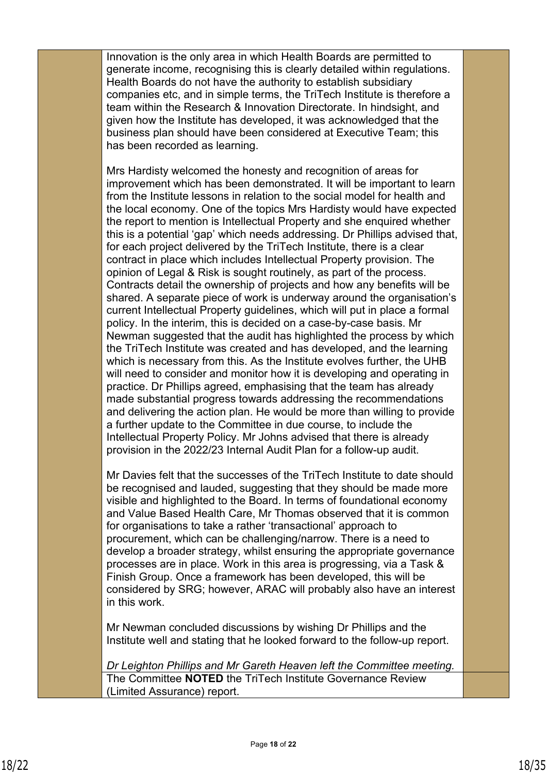Innovation is the only area in which Health Boards are permitted to generate income, recognising this is clearly detailed within regulations. Health Boards do not have the authority to establish subsidiary companies etc, and in simple terms, the TriTech Institute is therefore a team within the Research & Innovation Directorate. In hindsight, and given how the Institute has developed, it was acknowledged that the business plan should have been considered at Executive Team; this has been recorded as learning.

Mrs Hardisty welcomed the honesty and recognition of areas for improvement which has been demonstrated. It will be important to learn from the Institute lessons in relation to the social model for health and the local economy. One of the topics Mrs Hardisty would have expected the report to mention is Intellectual Property and she enquired whether this is a potential 'gap' which needs addressing. Dr Phillips advised that, for each project delivered by the TriTech Institute, there is a clear contract in place which includes Intellectual Property provision. The opinion of Legal & Risk is sought routinely, as part of the process. Contracts detail the ownership of projects and how any benefits will be shared. A separate piece of work is underway around the organisation's current Intellectual Property guidelines, which will put in place a formal policy. In the interim, this is decided on a case-by-case basis. Mr Newman suggested that the audit has highlighted the process by which the TriTech Institute was created and has developed, and the learning which is necessary from this. As the Institute evolves further, the UHB will need to consider and monitor how it is developing and operating in practice. Dr Phillips agreed, emphasising that the team has already made substantial progress towards addressing the recommendations and delivering the action plan. He would be more than willing to provide a further update to the Committee in due course, to include the Intellectual Property Policy. Mr Johns advised that there is already provision in the 2022/23 Internal Audit Plan for a follow-up audit.

Mr Davies felt that the successes of the TriTech Institute to date should be recognised and lauded, suggesting that they should be made more visible and highlighted to the Board. In terms of foundational economy and Value Based Health Care, Mr Thomas observed that it is common for organisations to take a rather 'transactional' approach to procurement, which can be challenging/narrow. There is a need to develop a broader strategy, whilst ensuring the appropriate governance processes are in place. Work in this area is progressing, via a Task & Finish Group. Once a framework has been developed, this will be considered by SRG; however, ARAC will probably also have an interest in this work.

Mr Newman concluded discussions by wishing Dr Phillips and the Institute well and stating that he looked forward to the follow-up report.

*Dr Leighton Phillips and Mr Gareth Heaven left the Committee meeting.* The Committee **NOTED** the TriTech Institute Governance Review (Limited Assurance) report.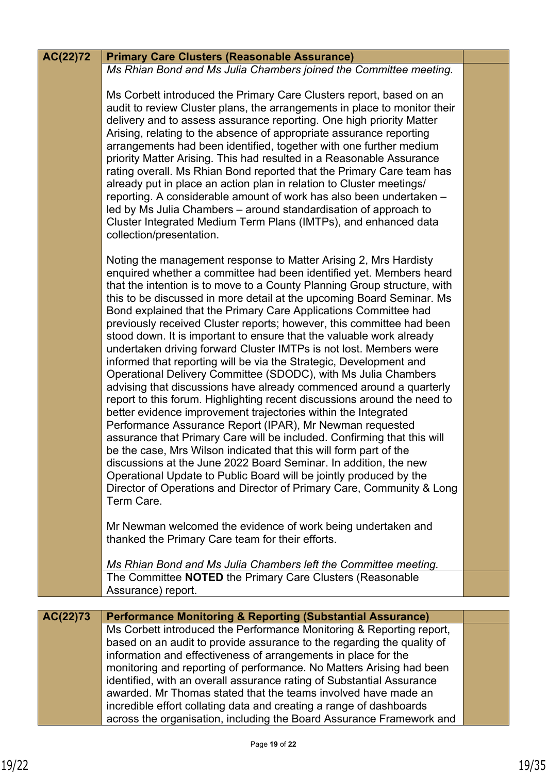| AC(22)72 | <b>Primary Care Clusters (Reasonable Assurance)</b>                                                                                                                                                                                                                                                                                                                                                                                                                                                                                                                                                                                                                                                                                                                                                                                                                                                                                                                                                                                                                                                                                                                                                                                                                                                                                                                                              |  |
|----------|--------------------------------------------------------------------------------------------------------------------------------------------------------------------------------------------------------------------------------------------------------------------------------------------------------------------------------------------------------------------------------------------------------------------------------------------------------------------------------------------------------------------------------------------------------------------------------------------------------------------------------------------------------------------------------------------------------------------------------------------------------------------------------------------------------------------------------------------------------------------------------------------------------------------------------------------------------------------------------------------------------------------------------------------------------------------------------------------------------------------------------------------------------------------------------------------------------------------------------------------------------------------------------------------------------------------------------------------------------------------------------------------------|--|
|          | Ms Rhian Bond and Ms Julia Chambers joined the Committee meeting.                                                                                                                                                                                                                                                                                                                                                                                                                                                                                                                                                                                                                                                                                                                                                                                                                                                                                                                                                                                                                                                                                                                                                                                                                                                                                                                                |  |
|          | Ms Corbett introduced the Primary Care Clusters report, based on an<br>audit to review Cluster plans, the arrangements in place to monitor their<br>delivery and to assess assurance reporting. One high priority Matter<br>Arising, relating to the absence of appropriate assurance reporting<br>arrangements had been identified, together with one further medium<br>priority Matter Arising. This had resulted in a Reasonable Assurance<br>rating overall. Ms Rhian Bond reported that the Primary Care team has<br>already put in place an action plan in relation to Cluster meetings/<br>reporting. A considerable amount of work has also been undertaken -<br>led by Ms Julia Chambers - around standardisation of approach to<br>Cluster Integrated Medium Term Plans (IMTPs), and enhanced data<br>collection/presentation.                                                                                                                                                                                                                                                                                                                                                                                                                                                                                                                                                         |  |
|          | Noting the management response to Matter Arising 2, Mrs Hardisty<br>enquired whether a committee had been identified yet. Members heard<br>that the intention is to move to a County Planning Group structure, with<br>this to be discussed in more detail at the upcoming Board Seminar. Ms<br>Bond explained that the Primary Care Applications Committee had<br>previously received Cluster reports; however, this committee had been<br>stood down. It is important to ensure that the valuable work already<br>undertaken driving forward Cluster IMTPs is not lost. Members were<br>informed that reporting will be via the Strategic, Development and<br>Operational Delivery Committee (SDODC), with Ms Julia Chambers<br>advising that discussions have already commenced around a quarterly<br>report to this forum. Highlighting recent discussions around the need to<br>better evidence improvement trajectories within the Integrated<br>Performance Assurance Report (IPAR), Mr Newman requested<br>assurance that Primary Care will be included. Confirming that this will<br>be the case, Mrs Wilson indicated that this will form part of the<br>discussions at the June 2022 Board Seminar. In addition, the new<br>Operational Update to Public Board will be jointly produced by the<br>Director of Operations and Director of Primary Care, Community & Long<br>Term Care. |  |
|          | Mr Newman welcomed the evidence of work being undertaken and<br>thanked the Primary Care team for their efforts.                                                                                                                                                                                                                                                                                                                                                                                                                                                                                                                                                                                                                                                                                                                                                                                                                                                                                                                                                                                                                                                                                                                                                                                                                                                                                 |  |
|          | Ms Rhian Bond and Ms Julia Chambers left the Committee meeting.<br>The Committee NOTED the Primary Care Clusters (Reasonable                                                                                                                                                                                                                                                                                                                                                                                                                                                                                                                                                                                                                                                                                                                                                                                                                                                                                                                                                                                                                                                                                                                                                                                                                                                                     |  |
|          | Assurance) report.                                                                                                                                                                                                                                                                                                                                                                                                                                                                                                                                                                                                                                                                                                                                                                                                                                                                                                                                                                                                                                                                                                                                                                                                                                                                                                                                                                               |  |
| AC(22)73 | <b>Performance Monitoring &amp; Reporting (Substantial Assurance)</b>                                                                                                                                                                                                                                                                                                                                                                                                                                                                                                                                                                                                                                                                                                                                                                                                                                                                                                                                                                                                                                                                                                                                                                                                                                                                                                                            |  |
|          | Ms Corbett introduced the Performance Monitoring & Reporting report,<br>based on an audit to provide assurance to the regarding the quality of<br>information and effectiveness of arrangements in place for the<br>monitoring and reporting of performance. No Matters Arising had been<br>identified, with an overall assurance rating of Substantial Assurance<br>awarded. Mr Thomas stated that the teams involved have made an<br>incredible effort collating data and creating a range of dashboards                                                                                                                                                                                                                                                                                                                                                                                                                                                                                                                                                                                                                                                                                                                                                                                                                                                                                       |  |
|          | across the organisation, including the Board Assurance Framework and                                                                                                                                                                                                                                                                                                                                                                                                                                                                                                                                                                                                                                                                                                                                                                                                                                                                                                                                                                                                                                                                                                                                                                                                                                                                                                                             |  |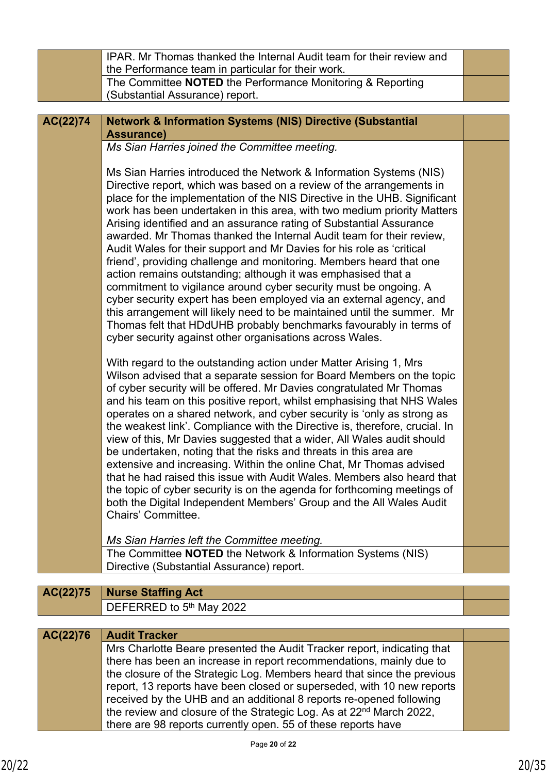|          | IPAR. Mr Thomas thanked the Internal Audit team for their review and                                                                                                                                                                                                                                                                                                                                                                                                                                                                                                                                                                                                                                                                                                                                                                                                                                                                                                                                                       |  |
|----------|----------------------------------------------------------------------------------------------------------------------------------------------------------------------------------------------------------------------------------------------------------------------------------------------------------------------------------------------------------------------------------------------------------------------------------------------------------------------------------------------------------------------------------------------------------------------------------------------------------------------------------------------------------------------------------------------------------------------------------------------------------------------------------------------------------------------------------------------------------------------------------------------------------------------------------------------------------------------------------------------------------------------------|--|
|          | the Performance team in particular for their work.                                                                                                                                                                                                                                                                                                                                                                                                                                                                                                                                                                                                                                                                                                                                                                                                                                                                                                                                                                         |  |
|          | The Committee NOTED the Performance Monitoring & Reporting<br>(Substantial Assurance) report.                                                                                                                                                                                                                                                                                                                                                                                                                                                                                                                                                                                                                                                                                                                                                                                                                                                                                                                              |  |
|          |                                                                                                                                                                                                                                                                                                                                                                                                                                                                                                                                                                                                                                                                                                                                                                                                                                                                                                                                                                                                                            |  |
| AC(22)74 | <b>Network &amp; Information Systems (NIS) Directive (Substantial</b>                                                                                                                                                                                                                                                                                                                                                                                                                                                                                                                                                                                                                                                                                                                                                                                                                                                                                                                                                      |  |
|          | <b>Assurance)</b>                                                                                                                                                                                                                                                                                                                                                                                                                                                                                                                                                                                                                                                                                                                                                                                                                                                                                                                                                                                                          |  |
|          | Ms Sian Harries joined the Committee meeting.                                                                                                                                                                                                                                                                                                                                                                                                                                                                                                                                                                                                                                                                                                                                                                                                                                                                                                                                                                              |  |
|          | Ms Sian Harries introduced the Network & Information Systems (NIS)<br>Directive report, which was based on a review of the arrangements in<br>place for the implementation of the NIS Directive in the UHB. Significant<br>work has been undertaken in this area, with two medium priority Matters<br>Arising identified and an assurance rating of Substantial Assurance<br>awarded. Mr Thomas thanked the Internal Audit team for their review,<br>Audit Wales for their support and Mr Davies for his role as 'critical<br>friend', providing challenge and monitoring. Members heard that one<br>action remains outstanding; although it was emphasised that a<br>commitment to vigilance around cyber security must be ongoing. A<br>cyber security expert has been employed via an external agency, and<br>this arrangement will likely need to be maintained until the summer. Mr<br>Thomas felt that HDdUHB probably benchmarks favourably in terms of<br>cyber security against other organisations across Wales. |  |
|          | With regard to the outstanding action under Matter Arising 1, Mrs<br>Wilson advised that a separate session for Board Members on the topic<br>of cyber security will be offered. Mr Davies congratulated Mr Thomas<br>and his team on this positive report, whilst emphasising that NHS Wales<br>operates on a shared network, and cyber security is 'only as strong as<br>the weakest link'. Compliance with the Directive is, therefore, crucial. In<br>view of this, Mr Davies suggested that a wider, All Wales audit should<br>be undertaken, noting that the risks and threats in this area are<br>extensive and increasing. Within the online Chat, Mr Thomas advised<br>that he had raised this issue with Audit Wales. Members also heard that<br>the topic of cyber security is on the agenda for forthcoming meetings of<br>both the Digital Independent Members' Group and the All Wales Audit<br>Chairs' Committee.<br>Ms Sian Harries left the Committee meeting.                                            |  |
|          | The Committee <b>NOTED</b> the Network & Information Systems (NIS)<br>Directive (Substantial Assurance) report.                                                                                                                                                                                                                                                                                                                                                                                                                                                                                                                                                                                                                                                                                                                                                                                                                                                                                                            |  |
|          |                                                                                                                                                                                                                                                                                                                                                                                                                                                                                                                                                                                                                                                                                                                                                                                                                                                                                                                                                                                                                            |  |
| AC(22)75 | <b>Nurse Staffing Act</b>                                                                                                                                                                                                                                                                                                                                                                                                                                                                                                                                                                                                                                                                                                                                                                                                                                                                                                                                                                                                  |  |
|          | DEFERRED to 5 <sup>th</sup> May 2022                                                                                                                                                                                                                                                                                                                                                                                                                                                                                                                                                                                                                                                                                                                                                                                                                                                                                                                                                                                       |  |

| AC(22)76 | <b>Audit Tracker</b>                                                            |  |
|----------|---------------------------------------------------------------------------------|--|
|          | Mrs Charlotte Beare presented the Audit Tracker report, indicating that         |  |
|          | there has been an increase in report recommendations, mainly due to             |  |
|          | the closure of the Strategic Log. Members heard that since the previous         |  |
|          | report, 13 reports have been closed or superseded, with 10 new reports          |  |
|          | received by the UHB and an additional 8 reports re-opened following             |  |
|          | the review and closure of the Strategic Log. As at 22 <sup>nd</sup> March 2022, |  |
|          | there are 98 reports currently open. 55 of these reports have                   |  |
|          |                                                                                 |  |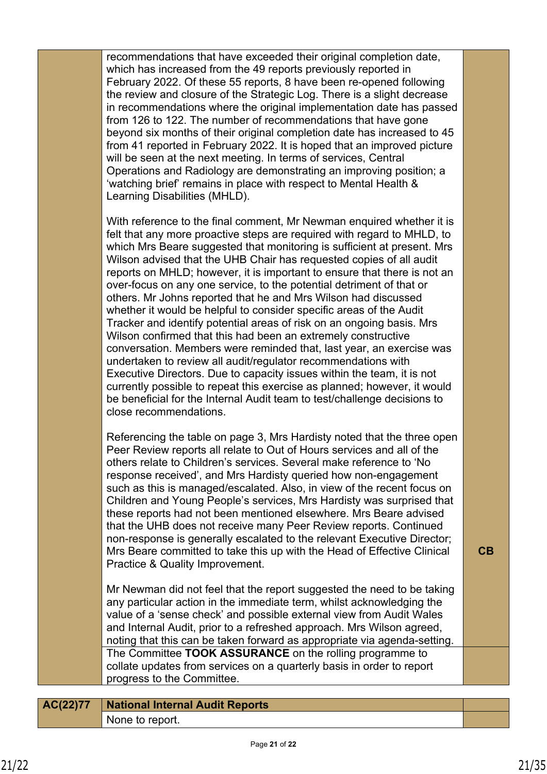| recommendations that have exceeded their original completion date,<br>which has increased from the 49 reports previously reported in<br>February 2022. Of these 55 reports, 8 have been re-opened following<br>the review and closure of the Strategic Log. There is a slight decrease<br>in recommendations where the original implementation date has passed<br>from 126 to 122. The number of recommendations that have gone<br>beyond six months of their original completion date has increased to 45<br>from 41 reported in February 2022. It is hoped that an improved picture<br>will be seen at the next meeting. In terms of services, Central<br>Operations and Radiology are demonstrating an improving position; a<br>'watching brief' remains in place with respect to Mental Health &<br>Learning Disabilities (MHLD).<br>With reference to the final comment, Mr Newman enquired whether it is<br>felt that any more proactive steps are required with regard to MHLD, to<br>which Mrs Beare suggested that monitoring is sufficient at present. Mrs<br>Wilson advised that the UHB Chair has requested copies of all audit<br>reports on MHLD; however, it is important to ensure that there is not an<br>over-focus on any one service, to the potential detriment of that or<br>others. Mr Johns reported that he and Mrs Wilson had discussed<br>whether it would be helpful to consider specific areas of the Audit<br>Tracker and identify potential areas of risk on an ongoing basis. Mrs<br>Wilson confirmed that this had been an extremely constructive<br>conversation. Members were reminded that, last year, an exercise was<br>undertaken to review all audit/regulator recommendations with<br>Executive Directors. Due to capacity issues within the team, it is not<br>currently possible to repeat this exercise as planned; however, it would<br>be beneficial for the Internal Audit team to test/challenge decisions to<br>close recommendations.<br>Referencing the table on page 3, Mrs Hardisty noted that the three open<br>Peer Review reports all relate to Out of Hours services and all of the<br>others relate to Children's services. Several make reference to 'No<br>response received', and Mrs Hardisty queried how non-engagement<br>such as this is managed/escalated. Also, in view of the recent focus on<br>Children and Young People's services, Mrs Hardisty was surprised that<br>these reports had not been mentioned elsewhere. Mrs Beare advised<br>that the UHB does not receive many Peer Review reports. Continued<br>non-response is generally escalated to the relevant Executive Director;<br>Mrs Beare committed to take this up with the Head of Effective Clinical<br>CB<br>Practice & Quality Improvement.<br>Mr Newman did not feel that the report suggested the need to be taking<br>any particular action in the immediate term, whilst acknowledging the<br>value of a 'sense check' and possible external view from Audit Wales<br>and Internal Audit, prior to a refreshed approach. Mrs Wilson agreed,<br>noting that this can be taken forward as appropriate via agenda-setting.<br>The Committee TOOK ASSURANCE on the rolling programme to<br>collate updates from services on a quarterly basis in order to report<br>progress to the Committee. |  |  |
|----------------------------------------------------------------------------------------------------------------------------------------------------------------------------------------------------------------------------------------------------------------------------------------------------------------------------------------------------------------------------------------------------------------------------------------------------------------------------------------------------------------------------------------------------------------------------------------------------------------------------------------------------------------------------------------------------------------------------------------------------------------------------------------------------------------------------------------------------------------------------------------------------------------------------------------------------------------------------------------------------------------------------------------------------------------------------------------------------------------------------------------------------------------------------------------------------------------------------------------------------------------------------------------------------------------------------------------------------------------------------------------------------------------------------------------------------------------------------------------------------------------------------------------------------------------------------------------------------------------------------------------------------------------------------------------------------------------------------------------------------------------------------------------------------------------------------------------------------------------------------------------------------------------------------------------------------------------------------------------------------------------------------------------------------------------------------------------------------------------------------------------------------------------------------------------------------------------------------------------------------------------------------------------------------------------------------------------------------------------------------------------------------------------------------------------------------------------------------------------------------------------------------------------------------------------------------------------------------------------------------------------------------------------------------------------------------------------------------------------------------------------------------------------------------------------------------------------------------------------------------------------------------------------------------------------------------------------------------------------------------------------------------------------------------------------------------------------------------------------------------------------------------------------------------------------------------------------------------------------------------------------------------------------------------------------------------------------|--|--|
|                                                                                                                                                                                                                                                                                                                                                                                                                                                                                                                                                                                                                                                                                                                                                                                                                                                                                                                                                                                                                                                                                                                                                                                                                                                                                                                                                                                                                                                                                                                                                                                                                                                                                                                                                                                                                                                                                                                                                                                                                                                                                                                                                                                                                                                                                                                                                                                                                                                                                                                                                                                                                                                                                                                                                                                                                                                                                                                                                                                                                                                                                                                                                                                                                                                                                                                                        |  |  |
|                                                                                                                                                                                                                                                                                                                                                                                                                                                                                                                                                                                                                                                                                                                                                                                                                                                                                                                                                                                                                                                                                                                                                                                                                                                                                                                                                                                                                                                                                                                                                                                                                                                                                                                                                                                                                                                                                                                                                                                                                                                                                                                                                                                                                                                                                                                                                                                                                                                                                                                                                                                                                                                                                                                                                                                                                                                                                                                                                                                                                                                                                                                                                                                                                                                                                                                                        |  |  |
|                                                                                                                                                                                                                                                                                                                                                                                                                                                                                                                                                                                                                                                                                                                                                                                                                                                                                                                                                                                                                                                                                                                                                                                                                                                                                                                                                                                                                                                                                                                                                                                                                                                                                                                                                                                                                                                                                                                                                                                                                                                                                                                                                                                                                                                                                                                                                                                                                                                                                                                                                                                                                                                                                                                                                                                                                                                                                                                                                                                                                                                                                                                                                                                                                                                                                                                                        |  |  |
|                                                                                                                                                                                                                                                                                                                                                                                                                                                                                                                                                                                                                                                                                                                                                                                                                                                                                                                                                                                                                                                                                                                                                                                                                                                                                                                                                                                                                                                                                                                                                                                                                                                                                                                                                                                                                                                                                                                                                                                                                                                                                                                                                                                                                                                                                                                                                                                                                                                                                                                                                                                                                                                                                                                                                                                                                                                                                                                                                                                                                                                                                                                                                                                                                                                                                                                                        |  |  |
|                                                                                                                                                                                                                                                                                                                                                                                                                                                                                                                                                                                                                                                                                                                                                                                                                                                                                                                                                                                                                                                                                                                                                                                                                                                                                                                                                                                                                                                                                                                                                                                                                                                                                                                                                                                                                                                                                                                                                                                                                                                                                                                                                                                                                                                                                                                                                                                                                                                                                                                                                                                                                                                                                                                                                                                                                                                                                                                                                                                                                                                                                                                                                                                                                                                                                                                                        |  |  |

| AC(22)77   National Internal Audit Reports |
|--------------------------------------------|
| None to report.                            |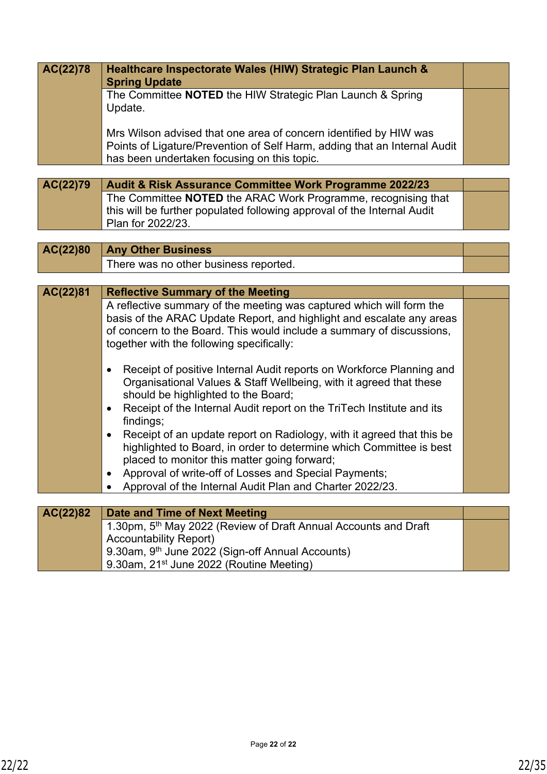| AC(22)78 | Healthcare Inspectorate Wales (HIW) Strategic Plan Launch &<br><b>Spring Update</b>                                      |  |
|----------|--------------------------------------------------------------------------------------------------------------------------|--|
|          | The Committee NOTED the HIW Strategic Plan Launch & Spring                                                               |  |
|          | Update.                                                                                                                  |  |
|          | Mrs Wilson advised that one area of concern identified by HIW was                                                        |  |
|          |                                                                                                                          |  |
|          | Points of Ligature/Prevention of Self Harm, adding that an Internal Audit<br>has been undertaken focusing on this topic. |  |

| AC(22)79 | <b>Audit &amp; Risk Assurance Committee Work Programme 2022/23</b>      |  |
|----------|-------------------------------------------------------------------------|--|
|          | The Committee NOTED the ARAC Work Programme, recognising that           |  |
|          | this will be further populated following approval of the Internal Audit |  |
|          | Plan for $2022/23$ .                                                    |  |

| $AC(22)80$ $\mid$ Any Other Business  |  |
|---------------------------------------|--|
| There was no other business reported. |  |

| AC(22)81 | <b>Reflective Summary of the Meeting</b>                                                                                                                                                          |  |
|----------|---------------------------------------------------------------------------------------------------------------------------------------------------------------------------------------------------|--|
|          | A reflective summary of the meeting was captured which will form the                                                                                                                              |  |
|          | basis of the ARAC Update Report, and highlight and escalate any areas                                                                                                                             |  |
|          | of concern to the Board. This would include a summary of discussions,                                                                                                                             |  |
|          | together with the following specifically:                                                                                                                                                         |  |
|          | Receipt of positive Internal Audit reports on Workforce Planning and<br>٠                                                                                                                         |  |
|          | Organisational Values & Staff Wellbeing, with it agreed that these<br>should be highlighted to the Board;                                                                                         |  |
|          | Receipt of the Internal Audit report on the TriTech Institute and its<br>$\bullet$<br>findings;                                                                                                   |  |
|          | Receipt of an update report on Radiology, with it agreed that this be<br>٠<br>highlighted to Board, in order to determine which Committee is best<br>placed to monitor this matter going forward; |  |
|          |                                                                                                                                                                                                   |  |
|          | Approval of write-off of Losses and Special Payments;<br>$\bullet$                                                                                                                                |  |
|          | Approval of the Internal Audit Plan and Charter 2022/23.                                                                                                                                          |  |
|          |                                                                                                                                                                                                   |  |
| AC(22)82 | Date and Time of Next Meeting                                                                                                                                                                     |  |
|          | 1.30pm, 5 <sup>th</sup> May 2022 (Review of Draft Annual Accounts and Draft                                                                                                                       |  |

Accountability Report)

9.30am, 9<sup>th</sup> June 2022 (Sign-off Annual Accounts)

9.30am, 21<sup>st</sup> June 2022 (Routine Meeting)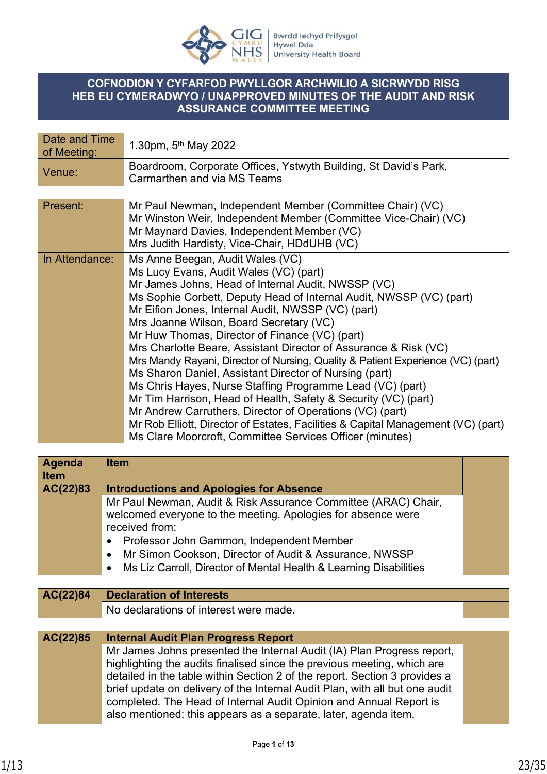

## **COFNODION Y CYFARFOD PWYLLGOR ARCHWILIO A SICRWYDD RISG HEB EU CYMERADWYO / UNAPPROVED MINUTES OF THE AUDIT AND RISK ASSURANCE COMMITTEE MEETING**

| Date and Time<br>of Meeting: | 1.30pm, $5^{th}$ May 2022                                                                                                                                                                                                                                                                                                                                                                                                                                                                                                                                                                                                                                                                                                                                                                                                                                                                                              |
|------------------------------|------------------------------------------------------------------------------------------------------------------------------------------------------------------------------------------------------------------------------------------------------------------------------------------------------------------------------------------------------------------------------------------------------------------------------------------------------------------------------------------------------------------------------------------------------------------------------------------------------------------------------------------------------------------------------------------------------------------------------------------------------------------------------------------------------------------------------------------------------------------------------------------------------------------------|
| Venue:                       | Boardroom, Corporate Offices, Ystwyth Building, St David's Park,<br>Carmarthen and via MS Teams                                                                                                                                                                                                                                                                                                                                                                                                                                                                                                                                                                                                                                                                                                                                                                                                                        |
|                              |                                                                                                                                                                                                                                                                                                                                                                                                                                                                                                                                                                                                                                                                                                                                                                                                                                                                                                                        |
| Present:                     | Mr Paul Newman, Independent Member (Committee Chair) (VC)<br>Mr Winston Weir, Independent Member (Committee Vice-Chair) (VC)<br>Mr Maynard Davies, Independent Member (VC)<br>Mrs Judith Hardisty, Vice-Chair, HDdUHB (VC)                                                                                                                                                                                                                                                                                                                                                                                                                                                                                                                                                                                                                                                                                             |
| In Attendance:               | Ms Anne Beegan, Audit Wales (VC)<br>Ms Lucy Evans, Audit Wales (VC) (part)<br>Mr James Johns, Head of Internal Audit, NWSSP (VC)<br>Ms Sophie Corbett, Deputy Head of Internal Audit, NWSSP (VC) (part)<br>Mr Eifion Jones, Internal Audit, NWSSP (VC) (part)<br>Mrs Joanne Wilson, Board Secretary (VC)<br>Mr Huw Thomas, Director of Finance (VC) (part)<br>Mrs Charlotte Beare, Assistant Director of Assurance & Risk (VC)<br>Mrs Mandy Rayani, Director of Nursing, Quality & Patient Experience (VC) (part)<br>Ms Sharon Daniel, Assistant Director of Nursing (part)<br>Ms Chris Hayes, Nurse Staffing Programme Lead (VC) (part)<br>Mr Tim Harrison, Head of Health, Safety & Security (VC) (part)<br>Mr Andrew Carruthers, Director of Operations (VC) (part)<br>Mr Rob Elliott, Director of Estates, Facilities & Capital Management (VC) (part)<br>Ms Clare Moorcroft, Committee Services Officer (minutes) |

| Agenda<br><b>Item</b> | <b>Item</b>                                                                    |  |
|-----------------------|--------------------------------------------------------------------------------|--|
| AC(22)83              | <b>Introductions and Apologies for Absence</b>                                 |  |
|                       | Mr Paul Newman, Audit & Risk Assurance Committee (ARAC) Chair,                 |  |
|                       | welcomed everyone to the meeting. Apologies for absence were                   |  |
|                       | received from:                                                                 |  |
|                       | Professor John Gammon, Independent Member<br>٠                                 |  |
|                       | Mr Simon Cookson, Director of Audit & Assurance, NWSSP<br>$\bullet$            |  |
|                       | Ms Liz Carroll, Director of Mental Health & Learning Disabilities<br>$\bullet$ |  |
|                       |                                                                                |  |
| AC(22)84              | <b>Declaration of Interests</b>                                                |  |
|                       | No declarations of interest were made.                                         |  |
|                       |                                                                                |  |
| AC(22)85              | <b>Internal Audit Plan Progress Report</b>                                     |  |
|                       | Mr James Johns presented the Internal Audit (IA) Plan Progress report,         |  |
|                       | highlighting the audits finalised since the previous meeting, which are        |  |
|                       | detailed in the table within Section 2 of the report. Section 3 provides a     |  |
|                       | brief update on delivery of the Internal Audit Plan, with all but one audit    |  |
|                       | completed. The Head of Internal Audit Opinion and Annual Report is             |  |
|                       | also mentioned; this appears as a separate, later, agenda item.                |  |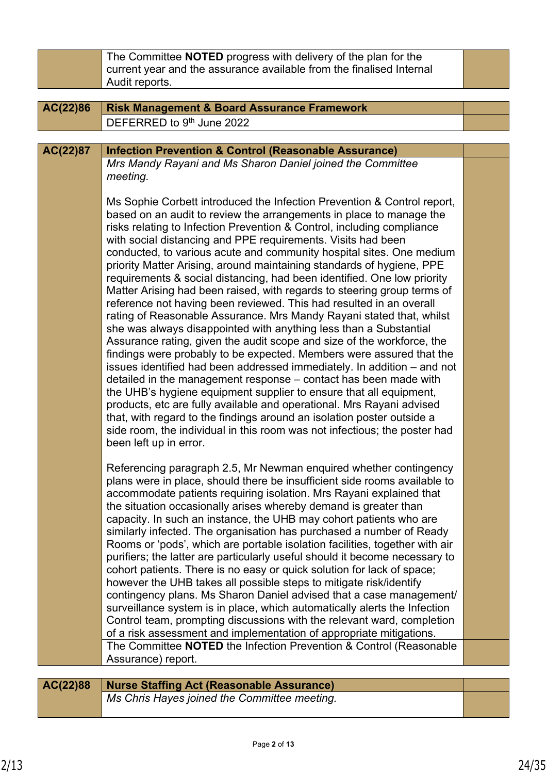|          | The Committee NOTED progress with delivery of the plan for the<br>current year and the assurance available from the finalised Internal<br>Audit reports.                                                                                                                                                                                                                                                                                                                                                                                                                                                                                                                                                                                                                                                                                                                                                                                                                                                                                                                                                                                                                                                                                                                                                                                                                                                                                             |  |  |  |
|----------|------------------------------------------------------------------------------------------------------------------------------------------------------------------------------------------------------------------------------------------------------------------------------------------------------------------------------------------------------------------------------------------------------------------------------------------------------------------------------------------------------------------------------------------------------------------------------------------------------------------------------------------------------------------------------------------------------------------------------------------------------------------------------------------------------------------------------------------------------------------------------------------------------------------------------------------------------------------------------------------------------------------------------------------------------------------------------------------------------------------------------------------------------------------------------------------------------------------------------------------------------------------------------------------------------------------------------------------------------------------------------------------------------------------------------------------------------|--|--|--|
|          |                                                                                                                                                                                                                                                                                                                                                                                                                                                                                                                                                                                                                                                                                                                                                                                                                                                                                                                                                                                                                                                                                                                                                                                                                                                                                                                                                                                                                                                      |  |  |  |
| AC(22)86 | <b>Risk Management &amp; Board Assurance Framework</b>                                                                                                                                                                                                                                                                                                                                                                                                                                                                                                                                                                                                                                                                                                                                                                                                                                                                                                                                                                                                                                                                                                                                                                                                                                                                                                                                                                                               |  |  |  |
|          | DEFERRED to 9th June 2022                                                                                                                                                                                                                                                                                                                                                                                                                                                                                                                                                                                                                                                                                                                                                                                                                                                                                                                                                                                                                                                                                                                                                                                                                                                                                                                                                                                                                            |  |  |  |
|          |                                                                                                                                                                                                                                                                                                                                                                                                                                                                                                                                                                                                                                                                                                                                                                                                                                                                                                                                                                                                                                                                                                                                                                                                                                                                                                                                                                                                                                                      |  |  |  |
| AC(22)87 | <b>Infection Prevention &amp; Control (Reasonable Assurance)</b>                                                                                                                                                                                                                                                                                                                                                                                                                                                                                                                                                                                                                                                                                                                                                                                                                                                                                                                                                                                                                                                                                                                                                                                                                                                                                                                                                                                     |  |  |  |
|          | Mrs Mandy Rayani and Ms Sharon Daniel joined the Committee<br>meeting.                                                                                                                                                                                                                                                                                                                                                                                                                                                                                                                                                                                                                                                                                                                                                                                                                                                                                                                                                                                                                                                                                                                                                                                                                                                                                                                                                                               |  |  |  |
|          | Ms Sophie Corbett introduced the Infection Prevention & Control report,<br>based on an audit to review the arrangements in place to manage the<br>risks relating to Infection Prevention & Control, including compliance<br>with social distancing and PPE requirements. Visits had been<br>conducted, to various acute and community hospital sites. One medium<br>priority Matter Arising, around maintaining standards of hygiene, PPE<br>requirements & social distancing, had been identified. One low priority<br>Matter Arising had been raised, with regards to steering group terms of<br>reference not having been reviewed. This had resulted in an overall<br>rating of Reasonable Assurance. Mrs Mandy Rayani stated that, whilst<br>she was always disappointed with anything less than a Substantial<br>Assurance rating, given the audit scope and size of the workforce, the<br>findings were probably to be expected. Members were assured that the<br>issues identified had been addressed immediately. In addition – and not<br>detailed in the management response - contact has been made with<br>the UHB's hygiene equipment supplier to ensure that all equipment,<br>products, etc are fully available and operational. Mrs Rayani advised<br>that, with regard to the findings around an isolation poster outside a<br>side room, the individual in this room was not infectious; the poster had<br>been left up in error. |  |  |  |
|          | Referencing paragraph 2.5, Mr Newman enquired whether contingency<br>plans were in place, should there be insufficient side rooms available to<br>accommodate patients requiring isolation. Mrs Rayani explained that<br>the situation occasionally arises whereby demand is greater than<br>capacity. In such an instance, the UHB may cohort patients who are<br>similarly infected. The organisation has purchased a number of Ready<br>Rooms or 'pods', which are portable isolation facilities, together with air<br>purifiers; the latter are particularly useful should it become necessary to<br>cohort patients. There is no easy or quick solution for lack of space;<br>however the UHB takes all possible steps to mitigate risk/identify<br>contingency plans. Ms Sharon Daniel advised that a case management/<br>surveillance system is in place, which automatically alerts the Infection<br>Control team, prompting discussions with the relevant ward, completion<br>of a risk assessment and implementation of appropriate mitigations.<br>The Committee <b>NOTED</b> the Infection Prevention & Control (Reasonable<br>Assurance) report.                                                                                                                                                                                                                                                                                        |  |  |  |
|          |                                                                                                                                                                                                                                                                                                                                                                                                                                                                                                                                                                                                                                                                                                                                                                                                                                                                                                                                                                                                                                                                                                                                                                                                                                                                                                                                                                                                                                                      |  |  |  |

**AC(22)88 Nurse Staffing Act (Reasonable Assurance)** *Ms Chris Hayes joined the Committee meeting.*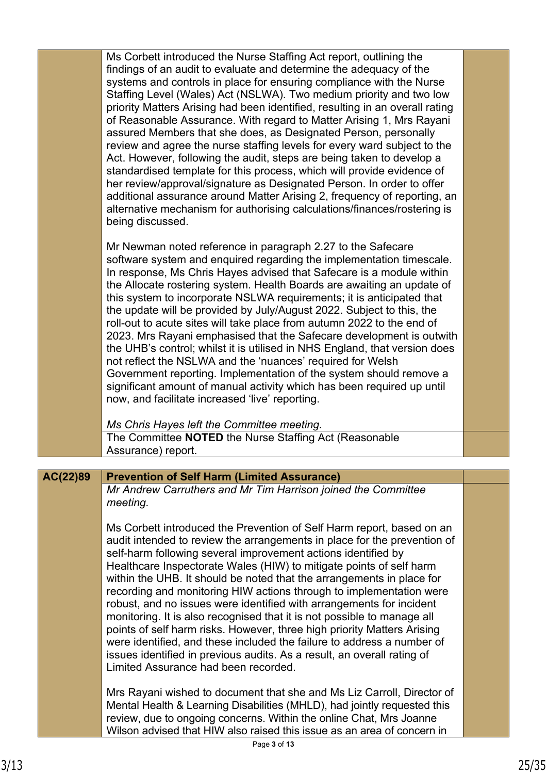|          | Ms Corbett introduced the Nurse Staffing Act report, outlining the<br>findings of an audit to evaluate and determine the adequacy of the<br>systems and controls in place for ensuring compliance with the Nurse<br>Staffing Level (Wales) Act (NSLWA). Two medium priority and two low<br>priority Matters Arising had been identified, resulting in an overall rating<br>of Reasonable Assurance. With regard to Matter Arising 1, Mrs Rayani<br>assured Members that she does, as Designated Person, personally<br>review and agree the nurse staffing levels for every ward subject to the<br>Act. However, following the audit, steps are being taken to develop a<br>standardised template for this process, which will provide evidence of<br>her review/approval/signature as Designated Person. In order to offer<br>additional assurance around Matter Arising 2, frequency of reporting, an<br>alternative mechanism for authorising calculations/finances/rostering is<br>being discussed. |  |
|----------|--------------------------------------------------------------------------------------------------------------------------------------------------------------------------------------------------------------------------------------------------------------------------------------------------------------------------------------------------------------------------------------------------------------------------------------------------------------------------------------------------------------------------------------------------------------------------------------------------------------------------------------------------------------------------------------------------------------------------------------------------------------------------------------------------------------------------------------------------------------------------------------------------------------------------------------------------------------------------------------------------------|--|
|          | Mr Newman noted reference in paragraph 2.27 to the Safecare<br>software system and enquired regarding the implementation timescale.<br>In response, Ms Chris Hayes advised that Safecare is a module within<br>the Allocate rostering system. Health Boards are awaiting an update of<br>this system to incorporate NSLWA requirements; it is anticipated that<br>the update will be provided by July/August 2022. Subject to this, the<br>roll-out to acute sites will take place from autumn 2022 to the end of<br>2023. Mrs Rayani emphasised that the Safecare development is outwith<br>the UHB's control; whilst it is utilised in NHS England, that version does<br>not reflect the NSLWA and the 'nuances' required for Welsh<br>Government reporting. Implementation of the system should remove a<br>significant amount of manual activity which has been required up until<br>now, and facilitate increased 'live' reporting.<br>Ms Chris Hayes left the Committee meeting.                 |  |
|          | The Committee NOTED the Nurse Staffing Act (Reasonable<br>Assurance) report.                                                                                                                                                                                                                                                                                                                                                                                                                                                                                                                                                                                                                                                                                                                                                                                                                                                                                                                           |  |
|          |                                                                                                                                                                                                                                                                                                                                                                                                                                                                                                                                                                                                                                                                                                                                                                                                                                                                                                                                                                                                        |  |
| AC(22)89 | <b>Prevention of Self Harm (Limited Assurance)</b><br>Mr Andrew Carruthers and Mr Tim Harrison joined the Committee<br>meeting.<br>Ms Corbett introduced the Prevention of Self Harm report, based on an<br>audit intended to review the arrangements in place for the prevention of<br>self-harm following several improvement actions identified by<br>Healthcare Inspectorate Wales (HIW) to mitigate points of self harm<br>within the UHB. It should be noted that the arrangements in place for<br>recording and monitoring HIW actions through to implementation were<br>robust, and no issues were identified with arrangements for incident<br>monitoring. It is also recognised that it is not possible to manage all<br>points of self harm risks. However, three high priority Matters Arising<br>were identified, and these included the failure to address a number of<br>issues identified in previous audits. As a result, an overall rating of                                        |  |
|          | Limited Assurance had been recorded.<br>Mrs Rayani wished to document that she and Ms Liz Carroll, Director of<br>Mental Health & Learning Disabilities (MHLD), had jointly requested this<br>review, due to ongoing concerns. Within the online Chat, Mrs Joanne<br>Wilson advised that HIW also raised this issue as an area of concern in                                                                                                                                                                                                                                                                                                                                                                                                                                                                                                                                                                                                                                                           |  |

ш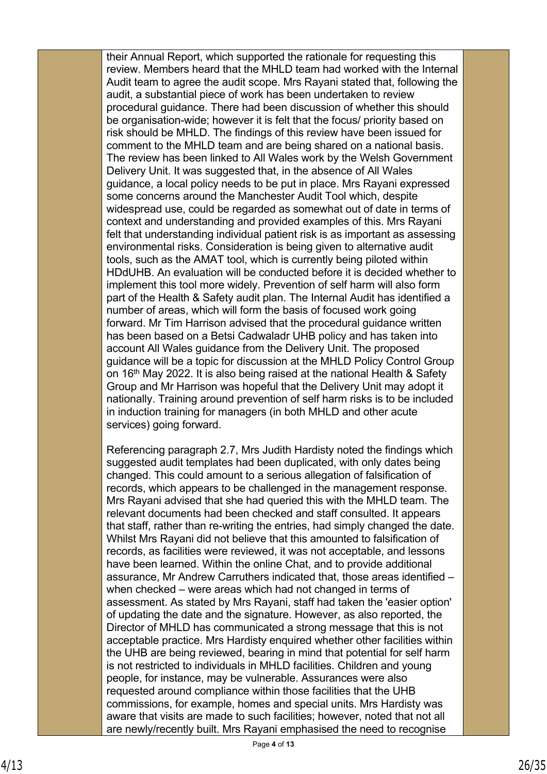their Annual Report, which supported the rationale for requesting this review. Members heard that the MHLD team had worked with the Internal Audit team to agree the audit scope. Mrs Rayani stated that, following the audit, a substantial piece of work has been undertaken to review procedural guidance. There had been discussion of whether this should be organisation-wide; however it is felt that the focus/ priority based on risk should be MHLD. The findings of this review have been issued for comment to the MHLD team and are being shared on a national basis. The review has been linked to All Wales work by the Welsh Government Delivery Unit. It was suggested that, in the absence of All Wales guidance, a local policy needs to be put in place. Mrs Rayani expressed some concerns around the Manchester Audit Tool which, despite widespread use, could be regarded as somewhat out of date in terms of context and understanding and provided examples of this. Mrs Rayani felt that understanding individual patient risk is as important as assessing environmental risks. Consideration is being given to alternative audit tools, such as the AMAT tool, which is currently being piloted within HDdUHB. An evaluation will be conducted before it is decided whether to implement this tool more widely. Prevention of self harm will also form part of the Health & Safety audit plan. The Internal Audit has identified a number of areas, which will form the basis of focused work going forward. Mr Tim Harrison advised that the procedural guidance written has been based on a Betsi Cadwaladr UHB policy and has taken into account All Wales guidance from the Delivery Unit. The proposed guidance will be a topic for discussion at the MHLD Policy Control Group on 16<sup>th</sup> May 2022. It is also being raised at the national Health & Safety Group and Mr Harrison was hopeful that the Delivery Unit may adopt it nationally. Training around prevention of self harm risks is to be included in induction training for managers (in both MHLD and other acute services) going forward.

Referencing paragraph 2.7, Mrs Judith Hardisty noted the findings which suggested audit templates had been duplicated, with only dates being changed. This could amount to a serious allegation of falsification of records, which appears to be challenged in the management response. Mrs Rayani advised that she had queried this with the MHLD team. The relevant documents had been checked and staff consulted. It appears that staff, rather than re-writing the entries, had simply changed the date. Whilst Mrs Rayani did not believe that this amounted to falsification of records, as facilities were reviewed, it was not acceptable, and lessons have been learned. Within the online Chat, and to provide additional assurance, Mr Andrew Carruthers indicated that, those areas identified – when checked – were areas which had not changed in terms of assessment. As stated by Mrs Rayani, staff had taken the 'easier option' of updating the date and the signature. However, as also reported, the Director of MHLD has communicated a strong message that this is not acceptable practice. Mrs Hardisty enquired whether other facilities within the UHB are being reviewed, bearing in mind that potential for self harm is not restricted to individuals in MHLD facilities. Children and young people, for instance, may be vulnerable. Assurances were also requested around compliance within those facilities that the UHB commissions, for example, homes and special units. Mrs Hardisty was aware that visits are made to such facilities; however, noted that not all are newly/recently built. Mrs Rayani emphasised the need to recognise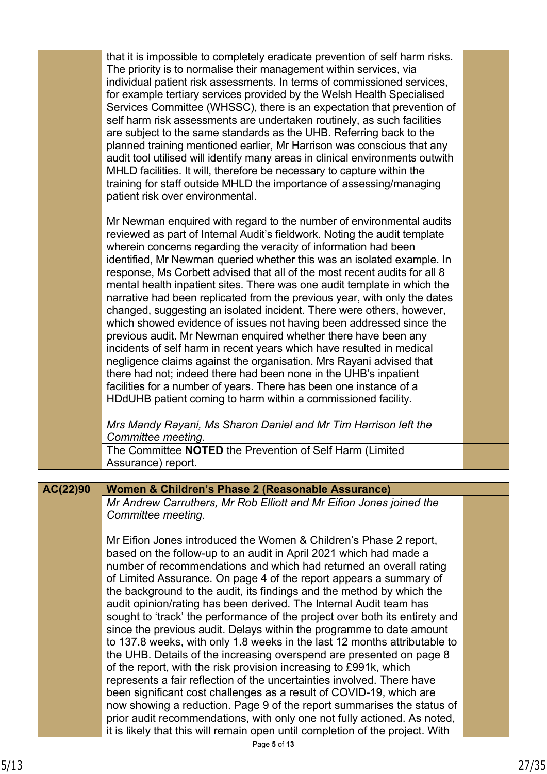|          | that it is impossible to completely eradicate prevention of self harm risks.<br>The priority is to normalise their management within services, via<br>individual patient risk assessments. In terms of commissioned services,<br>for example tertiary services provided by the Welsh Health Specialised<br>Services Committee (WHSSC), there is an expectation that prevention of<br>self harm risk assessments are undertaken routinely, as such facilities<br>are subject to the same standards as the UHB. Referring back to the<br>planned training mentioned earlier, Mr Harrison was conscious that any<br>audit tool utilised will identify many areas in clinical environments outwith<br>MHLD facilities. It will, therefore be necessary to capture within the<br>training for staff outside MHLD the importance of assessing/managing<br>patient risk over environmental.                                                                                                                                                                                                                                      |  |
|----------|---------------------------------------------------------------------------------------------------------------------------------------------------------------------------------------------------------------------------------------------------------------------------------------------------------------------------------------------------------------------------------------------------------------------------------------------------------------------------------------------------------------------------------------------------------------------------------------------------------------------------------------------------------------------------------------------------------------------------------------------------------------------------------------------------------------------------------------------------------------------------------------------------------------------------------------------------------------------------------------------------------------------------------------------------------------------------------------------------------------------------|--|
|          | Mr Newman enquired with regard to the number of environmental audits<br>reviewed as part of Internal Audit's fieldwork. Noting the audit template<br>wherein concerns regarding the veracity of information had been<br>identified, Mr Newman queried whether this was an isolated example. In<br>response, Ms Corbett advised that all of the most recent audits for all 8<br>mental health inpatient sites. There was one audit template in which the<br>narrative had been replicated from the previous year, with only the dates<br>changed, suggesting an isolated incident. There were others, however,<br>which showed evidence of issues not having been addressed since the<br>previous audit. Mr Newman enquired whether there have been any<br>incidents of self harm in recent years which have resulted in medical<br>negligence claims against the organisation. Mrs Rayani advised that<br>there had not; indeed there had been none in the UHB's inpatient<br>facilities for a number of years. There has been one instance of a<br>HDdUHB patient coming to harm within a commissioned facility.         |  |
|          | Mrs Mandy Rayani, Ms Sharon Daniel and Mr Tim Harrison left the<br>Committee meeting.                                                                                                                                                                                                                                                                                                                                                                                                                                                                                                                                                                                                                                                                                                                                                                                                                                                                                                                                                                                                                                     |  |
|          | The Committee NOTED the Prevention of Self Harm (Limited<br>Assurance) report.                                                                                                                                                                                                                                                                                                                                                                                                                                                                                                                                                                                                                                                                                                                                                                                                                                                                                                                                                                                                                                            |  |
| AC(22)90 | Women & Children's Phase 2 (Reasonable Assurance)                                                                                                                                                                                                                                                                                                                                                                                                                                                                                                                                                                                                                                                                                                                                                                                                                                                                                                                                                                                                                                                                         |  |
|          | Mr Andrew Carruthers, Mr Rob Elliott and Mr Eifion Jones joined the<br>Committee meeting.                                                                                                                                                                                                                                                                                                                                                                                                                                                                                                                                                                                                                                                                                                                                                                                                                                                                                                                                                                                                                                 |  |
|          | Mr Eifion Jones introduced the Women & Children's Phase 2 report,<br>based on the follow-up to an audit in April 2021 which had made a<br>number of recommendations and which had returned an overall rating<br>of Limited Assurance. On page 4 of the report appears a summary of<br>the background to the audit, its findings and the method by which the<br>audit opinion/rating has been derived. The Internal Audit team has<br>sought to 'track' the performance of the project over both its entirety and<br>since the previous audit. Delays within the programme to date amount<br>to 137.8 weeks, with only 1.8 weeks in the last 12 months attributable to<br>the UHB. Details of the increasing overspend are presented on page 8<br>of the report, with the risk provision increasing to £991k, which<br>represents a fair reflection of the uncertainties involved. There have<br>been significant cost challenges as a result of COVID-19, which are<br>now showing a reduction. Page 9 of the report summarises the status of<br>prior audit recommendations, with only one not fully actioned. As noted, |  |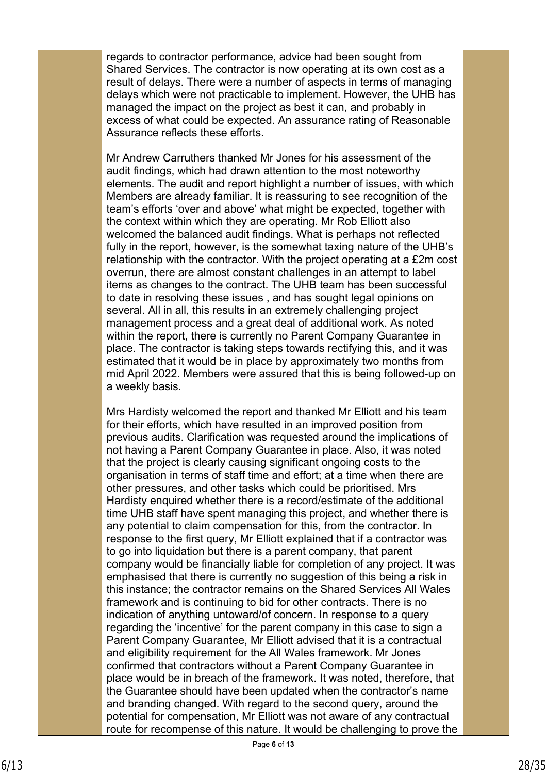regards to contractor performance, advice had been sought from Shared Services. The contractor is now operating at its own cost as a result of delays. There were a number of aspects in terms of managing delays which were not practicable to implement. However, the UHB has managed the impact on the project as best it can, and probably in excess of what could be expected. An assurance rating of Reasonable Assurance reflects these efforts.

Mr Andrew Carruthers thanked Mr Jones for his assessment of the audit findings, which had drawn attention to the most noteworthy elements. The audit and report highlight a number of issues, with which Members are already familiar. It is reassuring to see recognition of the team's efforts 'over and above' what might be expected, together with the context within which they are operating. Mr Rob Elliott also welcomed the balanced audit findings. What is perhaps not reflected fully in the report, however, is the somewhat taxing nature of the UHB's relationship with the contractor. With the project operating at a £2m cost overrun, there are almost constant challenges in an attempt to label items as changes to the contract. The UHB team has been successful to date in resolving these issues , and has sought legal opinions on several. All in all, this results in an extremely challenging project management process and a great deal of additional work. As noted within the report, there is currently no Parent Company Guarantee in place. The contractor is taking steps towards rectifying this, and it was estimated that it would be in place by approximately two months from mid April 2022. Members were assured that this is being followed-up on a weekly basis.

Mrs Hardisty welcomed the report and thanked Mr Elliott and his team for their efforts, which have resulted in an improved position from previous audits. Clarification was requested around the implications of not having a Parent Company Guarantee in place. Also, it was noted that the project is clearly causing significant ongoing costs to the organisation in terms of staff time and effort; at a time when there are other pressures, and other tasks which could be prioritised. Mrs Hardisty enquired whether there is a record/estimate of the additional time UHB staff have spent managing this project, and whether there is any potential to claim compensation for this, from the contractor. In response to the first query, Mr Elliott explained that if a contractor was to go into liquidation but there is a parent company, that parent company would be financially liable for completion of any project. It was emphasised that there is currently no suggestion of this being a risk in this instance; the contractor remains on the Shared Services All Wales framework and is continuing to bid for other contracts. There is no indication of anything untoward/of concern. In response to a query regarding the 'incentive' for the parent company in this case to sign a Parent Company Guarantee, Mr Elliott advised that it is a contractual and eligibility requirement for the All Wales framework. Mr Jones confirmed that contractors without a Parent Company Guarantee in place would be in breach of the framework. It was noted, therefore, that the Guarantee should have been updated when the contractor's name and branding changed. With regard to the second query, around the potential for compensation, Mr Elliott was not aware of any contractual route for recompense of this nature. It would be challenging to prove the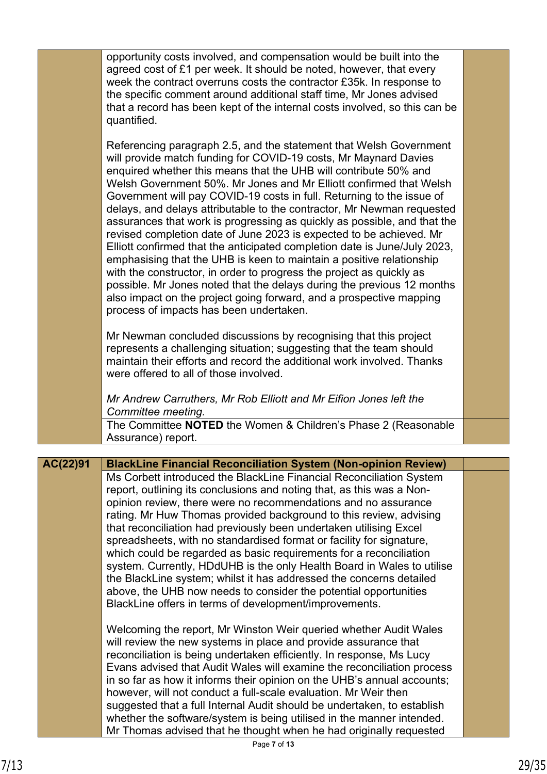|          | opportunity costs involved, and compensation would be built into the<br>agreed cost of £1 per week. It should be noted, however, that every<br>week the contract overruns costs the contractor £35k. In response to<br>the specific comment around additional staff time, Mr Jones advised<br>that a record has been kept of the internal costs involved, so this can be<br>quantified.                                                                                                                                                                                                                                                                                                                                                                                                                                                                                                                                                                                                                         |  |
|----------|-----------------------------------------------------------------------------------------------------------------------------------------------------------------------------------------------------------------------------------------------------------------------------------------------------------------------------------------------------------------------------------------------------------------------------------------------------------------------------------------------------------------------------------------------------------------------------------------------------------------------------------------------------------------------------------------------------------------------------------------------------------------------------------------------------------------------------------------------------------------------------------------------------------------------------------------------------------------------------------------------------------------|--|
|          | Referencing paragraph 2.5, and the statement that Welsh Government<br>will provide match funding for COVID-19 costs, Mr Maynard Davies<br>enquired whether this means that the UHB will contribute 50% and<br>Welsh Government 50%. Mr Jones and Mr Elliott confirmed that Welsh<br>Government will pay COVID-19 costs in full. Returning to the issue of<br>delays, and delays attributable to the contractor, Mr Newman requested<br>assurances that work is progressing as quickly as possible, and that the<br>revised completion date of June 2023 is expected to be achieved. Mr<br>Elliott confirmed that the anticipated completion date is June/July 2023,<br>emphasising that the UHB is keen to maintain a positive relationship<br>with the constructor, in order to progress the project as quickly as<br>possible. Mr Jones noted that the delays during the previous 12 months<br>also impact on the project going forward, and a prospective mapping<br>process of impacts has been undertaken. |  |
|          | Mr Newman concluded discussions by recognising that this project<br>represents a challenging situation; suggesting that the team should<br>maintain their efforts and record the additional work involved. Thanks<br>were offered to all of those involved.<br>Mr Andrew Carruthers, Mr Rob Elliott and Mr Eifion Jones left the                                                                                                                                                                                                                                                                                                                                                                                                                                                                                                                                                                                                                                                                                |  |
|          | Committee meeting.<br>The Committee NOTED the Women & Children's Phase 2 (Reasonable                                                                                                                                                                                                                                                                                                                                                                                                                                                                                                                                                                                                                                                                                                                                                                                                                                                                                                                            |  |
|          | Assurance) report.                                                                                                                                                                                                                                                                                                                                                                                                                                                                                                                                                                                                                                                                                                                                                                                                                                                                                                                                                                                              |  |
| AC(22)91 | <b>BlackLine Financial Reconciliation System (Non-opinion Review)</b>                                                                                                                                                                                                                                                                                                                                                                                                                                                                                                                                                                                                                                                                                                                                                                                                                                                                                                                                           |  |
|          | Ms Corbett introduced the BlackLine Financial Reconciliation System<br>report, outlining its conclusions and noting that, as this was a Non-<br>opinion review, there were no recommendations and no assurance<br>rating. Mr Huw Thomas provided background to this review, advising<br>that reconciliation had previously been undertaken utilising Excel<br>spreadsheets, with no standardised format or facility for signature,<br>which could be regarded as basic requirements for a reconciliation<br>system. Currently, HDdUHB is the only Health Board in Wales to utilise<br>the BlackLine system; whilst it has addressed the concerns detailed<br>above, the UHB now needs to consider the potential opportunities<br>BlackLine offers in terms of development/improvements.                                                                                                                                                                                                                         |  |
|          | Welcoming the report, Mr Winston Weir queried whether Audit Wales<br>will review the new systems in place and provide assurance that<br>reconciliation is being undertaken efficiently. In response, Ms Lucy<br>Evans advised that Audit Wales will examine the reconciliation process<br>in so far as how it informs their opinion on the UHB's annual accounts;<br>however, will not conduct a full-scale evaluation. Mr Weir then<br>suggested that a full Internal Audit should be undertaken, to establish<br>whether the software/system is being utilised in the manner intended.<br>Mr Thomas advised that he thought when he had originally requested                                                                                                                                                                                                                                                                                                                                                  |  |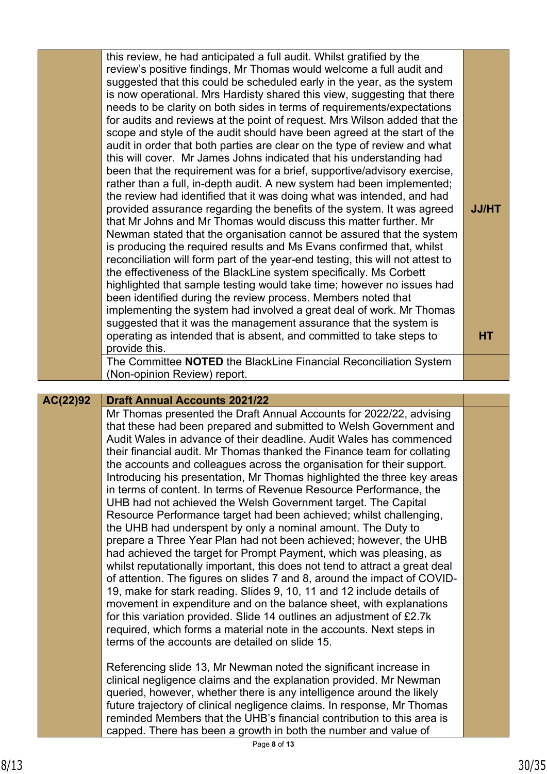|          | this review, he had anticipated a full audit. Whilst gratified by the<br>review's positive findings, Mr Thomas would welcome a full audit and<br>suggested that this could be scheduled early in the year, as the system<br>is now operational. Mrs Hardisty shared this view, suggesting that there<br>needs to be clarity on both sides in terms of requirements/expectations<br>for audits and reviews at the point of request. Mrs Wilson added that the<br>scope and style of the audit should have been agreed at the start of the<br>audit in order that both parties are clear on the type of review and what<br>this will cover. Mr James Johns indicated that his understanding had<br>been that the requirement was for a brief, supportive/advisory exercise,<br>rather than a full, in-depth audit. A new system had been implemented;<br>the review had identified that it was doing what was intended, and had<br>provided assurance regarding the benefits of the system. It was agreed<br>that Mr Johns and Mr Thomas would discuss this matter further. Mr<br>Newman stated that the organisation cannot be assured that the system<br>is producing the required results and Ms Evans confirmed that, whilst<br>reconciliation will form part of the year-end testing, this will not attest to<br>the effectiveness of the BlackLine system specifically. Ms Corbett<br>highlighted that sample testing would take time; however no issues had<br>been identified during the review process. Members noted that<br>implementing the system had involved a great deal of work. Mr Thomas<br>suggested that it was the management assurance that the system is<br>operating as intended that is absent, and committed to take steps to                                                                               | <b>JJ/HT</b><br><b>HT</b> |
|----------|--------------------------------------------------------------------------------------------------------------------------------------------------------------------------------------------------------------------------------------------------------------------------------------------------------------------------------------------------------------------------------------------------------------------------------------------------------------------------------------------------------------------------------------------------------------------------------------------------------------------------------------------------------------------------------------------------------------------------------------------------------------------------------------------------------------------------------------------------------------------------------------------------------------------------------------------------------------------------------------------------------------------------------------------------------------------------------------------------------------------------------------------------------------------------------------------------------------------------------------------------------------------------------------------------------------------------------------------------------------------------------------------------------------------------------------------------------------------------------------------------------------------------------------------------------------------------------------------------------------------------------------------------------------------------------------------------------------------------------------------------------------------------------------------------------------------------------------|---------------------------|
|          | provide this.<br>The Committee NOTED the BlackLine Financial Reconciliation System                                                                                                                                                                                                                                                                                                                                                                                                                                                                                                                                                                                                                                                                                                                                                                                                                                                                                                                                                                                                                                                                                                                                                                                                                                                                                                                                                                                                                                                                                                                                                                                                                                                                                                                                                   |                           |
|          | (Non-opinion Review) report.                                                                                                                                                                                                                                                                                                                                                                                                                                                                                                                                                                                                                                                                                                                                                                                                                                                                                                                                                                                                                                                                                                                                                                                                                                                                                                                                                                                                                                                                                                                                                                                                                                                                                                                                                                                                         |                           |
| AC(22)92 | <b>Draft Annual Accounts 2021/22</b>                                                                                                                                                                                                                                                                                                                                                                                                                                                                                                                                                                                                                                                                                                                                                                                                                                                                                                                                                                                                                                                                                                                                                                                                                                                                                                                                                                                                                                                                                                                                                                                                                                                                                                                                                                                                 |                           |
|          | Mr Thomas presented the Draft Annual Accounts for 2022/22, advising<br>that these had been prepared and submitted to Welsh Government and<br>Audit Wales in advance of their deadline. Audit Wales has commenced<br>their financial audit. Mr Thomas thanked the Finance team for collating<br>the accounts and colleagues across the organisation for their support.<br>Introducing his presentation, Mr Thomas highlighted the three key areas<br>in terms of content. In terms of Revenue Resource Performance, the<br>UHB had not achieved the Welsh Government target. The Capital<br>Resource Performance target had been achieved; whilst challenging,<br>the UHB had underspent by only a nominal amount. The Duty to<br>prepare a Three Year Plan had not been achieved; however, the UHB<br>had achieved the target for Prompt Payment, which was pleasing, as<br>whilst reputationally important, this does not tend to attract a great deal<br>of attention. The figures on slides 7 and 8, around the impact of COVID-<br>19, make for stark reading. Slides 9, 10, 11 and 12 include details of<br>movement in expenditure and on the balance sheet, with explanations<br>for this variation provided. Slide 14 outlines an adjustment of £2.7k<br>required, which forms a material note in the accounts. Next steps in<br>terms of the accounts are detailed on slide 15.<br>Referencing slide 13, Mr Newman noted the significant increase in<br>clinical negligence claims and the explanation provided. Mr Newman<br>queried, however, whether there is any intelligence around the likely<br>future trajectory of clinical negligence claims. In response, Mr Thomas<br>reminded Members that the UHB's financial contribution to this area is<br>capped. There has been a growth in both the number and value of |                           |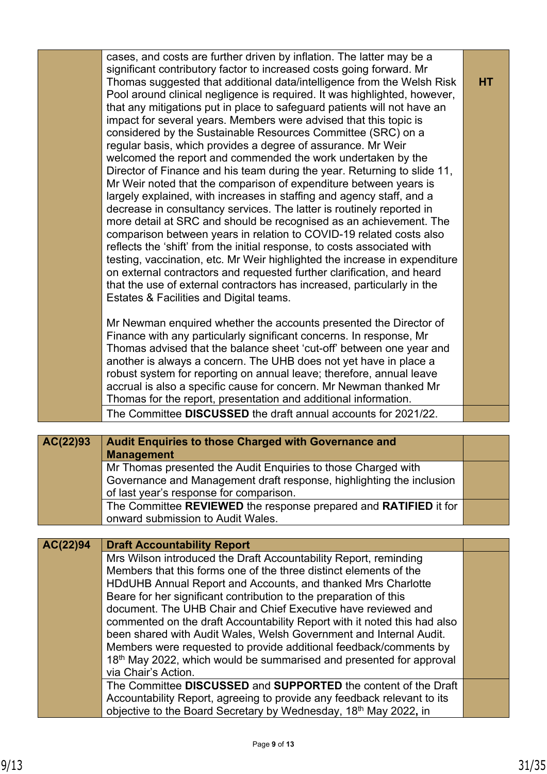| cases, and costs are further driven by inflation. The latter may be a<br>significant contributory factor to increased costs going forward. Mr<br>Thomas suggested that additional data/intelligence from the Welsh Risk<br>Pool around clinical negligence is required. It was highlighted, however,<br>that any mitigations put in place to safeguard patients will not have an<br>impact for several years. Members were advised that this topic is<br>considered by the Sustainable Resources Committee (SRC) on a<br>regular basis, which provides a degree of assurance. Mr Weir<br>welcomed the report and commended the work undertaken by the<br>Director of Finance and his team during the year. Returning to slide 11,<br>Mr Weir noted that the comparison of expenditure between years is<br>largely explained, with increases in staffing and agency staff, and a<br>decrease in consultancy services. The latter is routinely reported in<br>more detail at SRC and should be recognised as an achievement. The<br>comparison between years in relation to COVID-19 related costs also<br>reflects the 'shift' from the initial response, to costs associated with<br>testing, vaccination, etc. Mr Weir highlighted the increase in expenditure<br>on external contractors and requested further clarification, and heard<br>that the use of external contractors has increased, particularly in the<br>Estates & Facilities and Digital teams.<br>Mr Newman enquired whether the accounts presented the Director of<br>Finance with any particularly significant concerns. In response, Mr<br>Thomas advised that the balance sheet 'cut-off' between one year and<br>another is always a concern. The UHB does not yet have in place a<br>robust system for reporting on annual leave; therefore, annual leave<br>accrual is also a specific cause for concern. Mr Newman thanked Mr<br>Thomas for the report, presentation and additional information.<br>The Committee DISCUSSED the draft annual accounts for 2021/22. | <b>HT</b> |
|---------------------------------------------------------------------------------------------------------------------------------------------------------------------------------------------------------------------------------------------------------------------------------------------------------------------------------------------------------------------------------------------------------------------------------------------------------------------------------------------------------------------------------------------------------------------------------------------------------------------------------------------------------------------------------------------------------------------------------------------------------------------------------------------------------------------------------------------------------------------------------------------------------------------------------------------------------------------------------------------------------------------------------------------------------------------------------------------------------------------------------------------------------------------------------------------------------------------------------------------------------------------------------------------------------------------------------------------------------------------------------------------------------------------------------------------------------------------------------------------------------------------------------------------------------------------------------------------------------------------------------------------------------------------------------------------------------------------------------------------------------------------------------------------------------------------------------------------------------------------------------------------------------------------------------------------------------------------------------------------------------------------------------------------|-----------|
|                                                                                                                                                                                                                                                                                                                                                                                                                                                                                                                                                                                                                                                                                                                                                                                                                                                                                                                                                                                                                                                                                                                                                                                                                                                                                                                                                                                                                                                                                                                                                                                                                                                                                                                                                                                                                                                                                                                                                                                                                                             |           |
|                                                                                                                                                                                                                                                                                                                                                                                                                                                                                                                                                                                                                                                                                                                                                                                                                                                                                                                                                                                                                                                                                                                                                                                                                                                                                                                                                                                                                                                                                                                                                                                                                                                                                                                                                                                                                                                                                                                                                                                                                                             |           |

| AC(22)93 | Audit Enquiries to those Charged with Governance and<br><b>Management</b> |  |
|----------|---------------------------------------------------------------------------|--|
|          | Mr Thomas presented the Audit Enquiries to those Charged with             |  |
|          | Governance and Management draft response, highlighting the inclusion      |  |
|          | of last year's response for comparison.                                   |  |
|          | The Committee REVIEWED the response prepared and RATIFIED it for          |  |
|          | onward submission to Audit Wales.                                         |  |

### **Draft Accountability Report AC(22)94**

Mrs Wilson introduced the Draft Accountability Report, reminding Members that this forms one of the three distinct elements of the HDdUHB Annual Report and Accounts, and thanked Mrs Charlotte Beare for her significant contribution to the preparation of this document. The UHB Chair and Chief Executive have reviewed and commented on the draft Accountability Report with it noted this had also been shared with Audit Wales, Welsh Government and Internal Audit. Members were requested to provide additional feedback/comments by 18<sup>th</sup> May 2022, which would be summarised and presented for approval via Chair's Action. The Committee **DISCUSSED** and **SUPPORTED** the content of the Draft Accountability Report, agreeing to provide any feedback relevant to its objective to the Board Secretary by Wednesday, 18th May 2022**,** in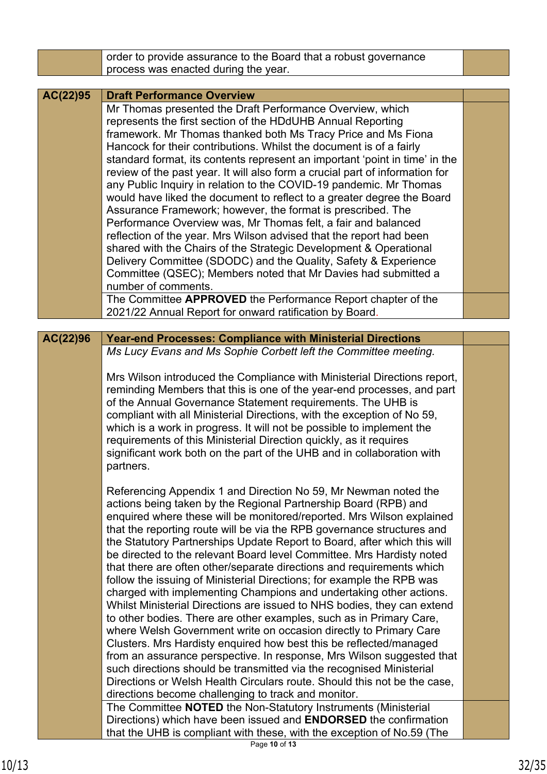|          | order to provide assurance to the Board that a robust governance             |  |
|----------|------------------------------------------------------------------------------|--|
|          | process was enacted during the year.                                         |  |
|          |                                                                              |  |
| AC(22)95 | <b>Draft Performance Overview</b>                                            |  |
|          | Mr Thomas presented the Draft Performance Overview, which                    |  |
|          | represents the first section of the HDdUHB Annual Reporting                  |  |
|          | framework. Mr Thomas thanked both Ms Tracy Price and Ms Fiona                |  |
|          | Hancock for their contributions. Whilst the document is of a fairly          |  |
|          | standard format, its contents represent an important 'point in time' in the  |  |
|          | review of the past year. It will also form a crucial part of information for |  |
|          | any Public Inquiry in relation to the COVID-19 pandemic. Mr Thomas           |  |
|          | would have liked the document to reflect to a greater degree the Board       |  |
|          | Assurance Framework; however, the format is prescribed. The                  |  |
|          | Performance Overview was, Mr Thomas felt, a fair and balanced                |  |
|          | reflection of the year. Mrs Wilson advised that the report had been          |  |
|          | shared with the Chairs of the Strategic Development & Operational            |  |
|          |                                                                              |  |
|          | Delivery Committee (SDODC) and the Quality, Safety & Experience              |  |
|          | Committee (QSEC); Members noted that Mr Davies had submitted a               |  |
|          | number of comments.                                                          |  |
|          | The Committee APPROVED the Performance Report chapter of the                 |  |
|          | 2021/22 Annual Report for onward ratification by Board.                      |  |
|          |                                                                              |  |
| AC(22)96 | <b>Year-end Processes: Compliance with Ministerial Directions</b>            |  |
|          | Ms Lucy Evans and Ms Sophie Corbett left the Committee meeting.              |  |
|          |                                                                              |  |
|          | Mrs Wilson introduced the Compliance with Ministerial Directions report,     |  |
|          | reminding Members that this is one of the year-end processes, and part       |  |
|          | of the Annual Governance Statement requirements. The UHB is                  |  |
|          | compliant with all Ministerial Directions, with the exception of No 59,      |  |
|          | which is a work in progress. It will not be possible to implement the        |  |
|          | requirements of this Ministerial Direction quickly, as it requires           |  |
|          | significant work both on the part of the UHB and in collaboration with       |  |
|          | partners.                                                                    |  |
|          |                                                                              |  |
|          | Referencing Appendix 1 and Direction No 59, Mr Newman noted the              |  |
|          | actions being taken by the Regional Partnership Board (RPB) and              |  |
|          | enquired where these will be monitored/reported. Mrs Wilson explained        |  |
|          | that the reporting route will be via the RPB governance structures and       |  |
|          | the Statutory Partnerships Update Report to Board, after which this will     |  |
|          | be directed to the relevant Board level Committee. Mrs Hardisty noted        |  |
|          | that there are often other/separate directions and requirements which        |  |
|          | follow the issuing of Ministerial Directions; for example the RPB was        |  |
|          | charged with implementing Champions and undertaking other actions.           |  |
|          | Whilst Ministerial Directions are issued to NHS bodies, they can extend      |  |
|          | to other bodies. There are other examples, such as in Primary Care,          |  |
|          | where Welsh Government write on occasion directly to Primary Care            |  |
|          | Clusters. Mrs Hardisty enquired how best this be reflected/managed           |  |
|          | from an assurance perspective. In response, Mrs Wilson suggested that        |  |
|          | such directions should be transmitted via the recognised Ministerial         |  |
|          | Directions or Welsh Health Circulars route. Should this not be the case,     |  |
|          | directions become challenging to track and monitor.                          |  |
|          | The Committee NOTED the Non-Statutory Instruments (Ministerial               |  |
|          | Directions) which have been issued and <b>ENDORSED</b> the confirmation      |  |
|          |                                                                              |  |
|          | that the UHB is compliant with these, with the exception of No.59 (The       |  |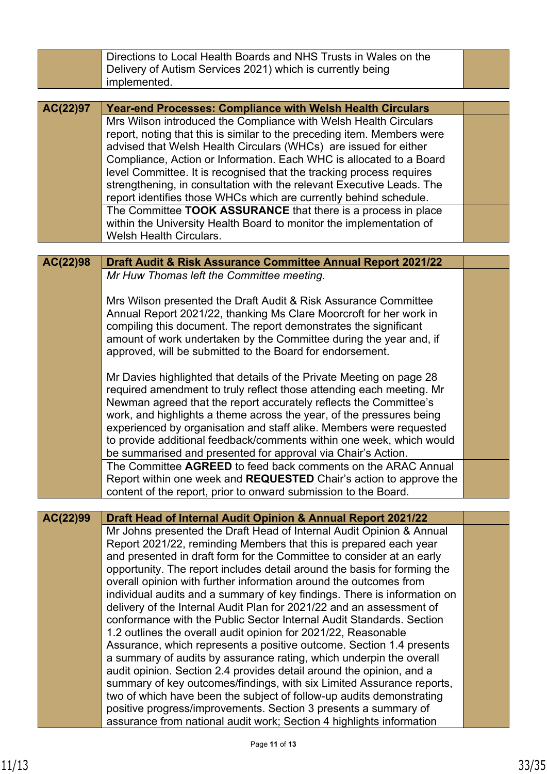|          | Directions to Local Health Boards and NHS Trusts in Wales on the<br>Delivery of Autism Services 2021) which is currently being<br>implemented.   |  |
|----------|--------------------------------------------------------------------------------------------------------------------------------------------------|--|
|          |                                                                                                                                                  |  |
| AC(22)97 | <b>Year-end Processes: Compliance with Welsh Health Circulars</b>                                                                                |  |
|          | Mrs Wilson introduced the Compliance with Welsh Health Circulars                                                                                 |  |
|          | report, noting that this is similar to the preceding item. Members were                                                                          |  |
|          | advised that Welsh Health Circulars (WHCs) are issued for either                                                                                 |  |
|          | Compliance, Action or Information. Each WHC is allocated to a Board                                                                              |  |
|          | level Committee. It is recognised that the tracking process requires<br>strengthening, in consultation with the relevant Executive Leads. The    |  |
|          | report identifies those WHCs which are currently behind schedule.                                                                                |  |
|          | The Committee TOOK ASSURANCE that there is a process in place                                                                                    |  |
|          | within the University Health Board to monitor the implementation of                                                                              |  |
|          | <b>Welsh Health Circulars.</b>                                                                                                                   |  |
|          |                                                                                                                                                  |  |
| AC(22)98 | Draft Audit & Risk Assurance Committee Annual Report 2021/22                                                                                     |  |
|          | Mr Huw Thomas left the Committee meeting.                                                                                                        |  |
|          |                                                                                                                                                  |  |
|          | Mrs Wilson presented the Draft Audit & Risk Assurance Committee                                                                                  |  |
|          | Annual Report 2021/22, thanking Ms Clare Moorcroft for her work in<br>compiling this document. The report demonstrates the significant           |  |
|          | amount of work undertaken by the Committee during the year and, if                                                                               |  |
|          | approved, will be submitted to the Board for endorsement.                                                                                        |  |
|          |                                                                                                                                                  |  |
|          | Mr Davies highlighted that details of the Private Meeting on page 28                                                                             |  |
|          | required amendment to truly reflect those attending each meeting. Mr                                                                             |  |
|          | Newman agreed that the report accurately reflects the Committee's                                                                                |  |
|          | work, and highlights a theme across the year, of the pressures being                                                                             |  |
|          | experienced by organisation and staff alike. Members were requested                                                                              |  |
|          | to provide additional feedback/comments within one week, which would<br>be summarised and presented for approval via Chair's Action.             |  |
|          | The Committee AGREED to feed back comments on the ARAC Annual                                                                                    |  |
|          | Report within one week and <b>REQUESTED</b> Chair's action to approve the                                                                        |  |
|          | content of the report, prior to onward submission to the Board.                                                                                  |  |
|          |                                                                                                                                                  |  |
| AC(22)99 | Draft Head of Internal Audit Opinion & Annual Report 2021/22                                                                                     |  |
|          | Mr Johns presented the Draft Head of Internal Audit Opinion & Annual                                                                             |  |
|          | Report 2021/22, reminding Members that this is prepared each year                                                                                |  |
|          | and presented in draft form for the Committee to consider at an early                                                                            |  |
|          | opportunity. The report includes detail around the basis for forming the                                                                         |  |
|          | overall opinion with further information around the outcomes from                                                                                |  |
|          | individual audits and a summary of key findings. There is information on<br>delivery of the Internal Audit Plan for 2021/22 and an assessment of |  |
|          | conformance with the Public Sector Internal Audit Standards. Section                                                                             |  |
|          | 1.2 outlines the overall audit opinion for 2021/22, Reasonable                                                                                   |  |
|          | Assurance, which represents a positive outcome. Section 1.4 presents                                                                             |  |
|          | a summary of audits by assurance rating, which underpin the overall                                                                              |  |
|          | audit opinion. Section 2.4 provides detail around the opinion, and a                                                                             |  |
|          | summary of key outcomes/findings, with six Limited Assurance reports,                                                                            |  |
|          | two of which have been the subject of follow-up audits demonstrating                                                                             |  |
|          | positive progress/improvements. Section 3 presents a summary of                                                                                  |  |
|          | assurance from national audit work; Section 4 highlights information                                                                             |  |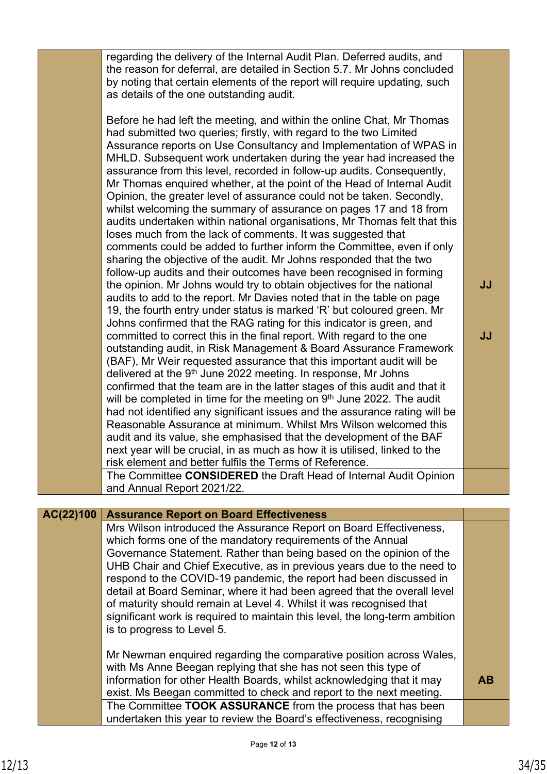regarding the delivery of the Internal Audit Plan. Deferred audits, and the reason for deferral, are detailed in Section 5.7. Mr Johns concluded by noting that certain elements of the report will require updating, such as details of the one outstanding audit.

Before he had left the meeting, and within the online Chat, Mr Thomas had submitted two queries; firstly, with regard to the two Limited Assurance reports on Use Consultancy and Implementation of WPAS in MHLD. Subsequent work undertaken during the year had increased the assurance from this level, recorded in follow-up audits. Consequently, Mr Thomas enquired whether, at the point of the Head of Internal Audit Opinion, the greater level of assurance could not be taken. Secondly, whilst welcoming the summary of assurance on pages 17 and 18 from audits undertaken within national organisations, Mr Thomas felt that this loses much from the lack of comments. It was suggested that comments could be added to further inform the Committee, even if only sharing the objective of the audit. Mr Johns responded that the two follow-up audits and their outcomes have been recognised in forming the opinion. Mr Johns would try to obtain objectives for the national audits to add to the report. Mr Davies noted that in the table on page 19, the fourth entry under status is marked 'R' but coloured green. Mr Johns confirmed that the RAG rating for this indicator is green, and committed to correct this in the final report. With regard to the one outstanding audit, in Risk Management & Board Assurance Framework (BAF), Mr Weir requested assurance that this important audit will be delivered at the 9<sup>th</sup> June 2022 meeting. In response, Mr Johns confirmed that the team are in the latter stages of this audit and that it will be completed in time for the meeting on 9<sup>th</sup> June 2022. The audit had not identified any significant issues and the assurance rating will be Reasonable Assurance at minimum. Whilst Mrs Wilson welcomed this audit and its value, she emphasised that the development of the BAF next year will be crucial, in as much as how it is utilised, linked to the risk element and better fulfils the Terms of Reference.

**JJ**

The Committee **CONSIDERED** the Draft Head of Internal Audit Opinion and Annual Report 2021/22.

### **Assurance Report on Board Effectiveness AC(22)100**

Mrs Wilson introduced the Assurance Report on Board Effectiveness, which forms one of the mandatory requirements of the Annual Governance Statement. Rather than being based on the opinion of the UHB Chair and Chief Executive, as in previous years due to the need to respond to the COVID-19 pandemic, the report had been discussed in detail at Board Seminar, where it had been agreed that the overall level of maturity should remain at Level 4. Whilst it was recognised that significant work is required to maintain this level, the long-term ambition is to progress to Level 5.

Mr Newman enquired regarding the comparative position across Wales, with Ms Anne Beegan replying that she has not seen this type of information for other Health Boards, whilst acknowledging that it may exist. Ms Beegan committed to check and report to the next meeting. **AB** The Committee **TOOK ASSURANCE** from the process that has been undertaken this year to review the Board's effectiveness, recognising